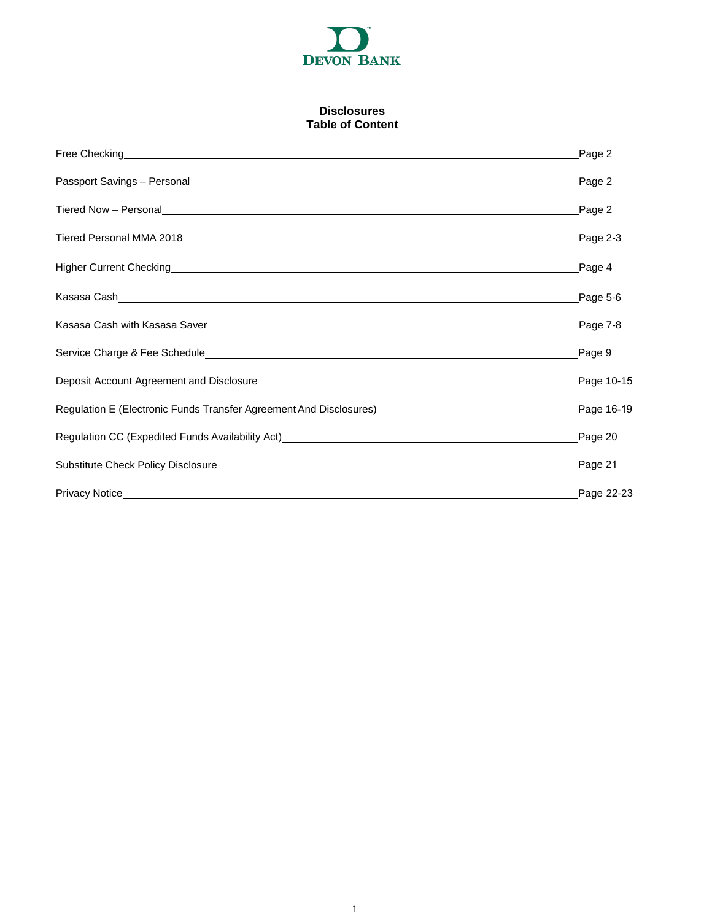

## **Disclosures Table of Content**

| Higher Current Checking Page 4 Contract on the Contract of the Current Checking Page 4 |            |
|----------------------------------------------------------------------------------------|------------|
|                                                                                        |            |
|                                                                                        |            |
|                                                                                        |            |
|                                                                                        |            |
| Regulation E (Electronic Funds Transfer Agreement And Disclosures)<br>Page 16-19       |            |
|                                                                                        |            |
|                                                                                        | Page 21    |
|                                                                                        | Page 22-23 |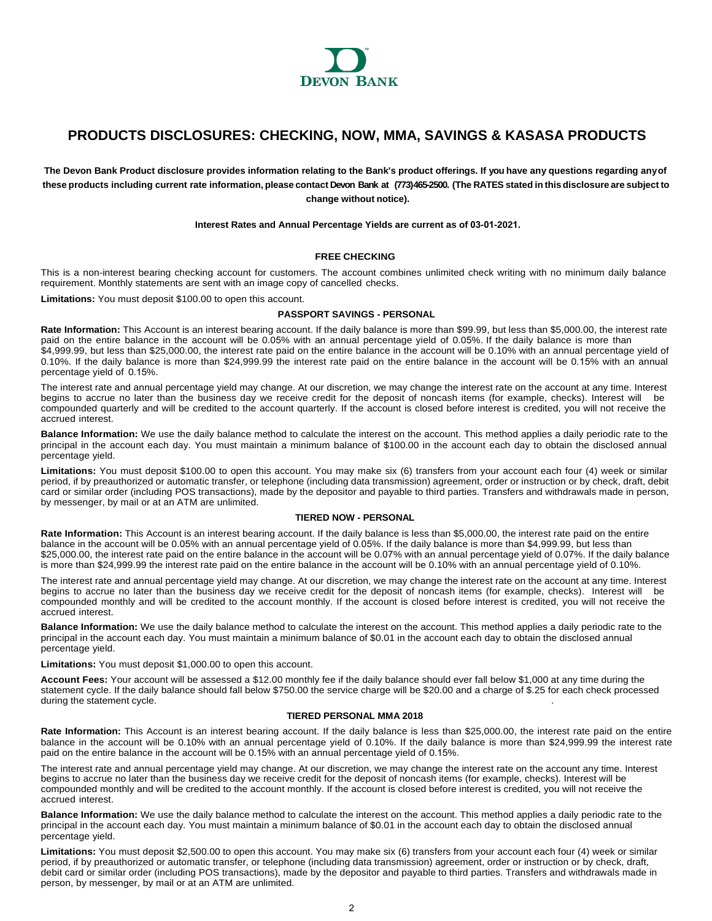

# <span id="page-1-0"></span>**PRODUCTS DISCLOSURES: CHECKING, NOW, MMA, SAVINGS & KASASA PRODUCTS**

**The Devon Bank Product disclosure provides information relating to the Bank's product offerings. If you have any questions regarding anyof**  these products including current rate information, please contact Devon Bank at (773)465-2500. (The RATES stated in this disclosure are subject to **change without notice).** 

**Interest Rates and Annual Percentage Yields are current as of 03-01-2021.** 

## **FREE CHECKING**

This is a non-interest bearing checking account for customers. The account combines unlimited check writing with no minimum daily balance requirement. Monthly statements are sent with an image copy of cancelled checks.

**Limitations:** You must deposit \$100.00 to open this account.

## **PASSPORT SAVINGS - PERSONAL**

**Rate Information:** This Account is an interest bearing account. If the daily balance is more than \$99.99, but less than \$5,000.00, the interest rate paid on the entire balance in the account will be 0.05% with an annual percentage yield of 0.05%. If the daily balance is more than \$4,999.99, but less than \$25,000.00, the interest rate paid on the entire balance in the account will be 0.10% with an annual percentage yield of 0.10%. If the daily balance is more than \$24,999.99 the interest rate paid on the entire balance in the account will be 0.15% with an annual percentage yield of 0.15%.

The interest rate and annual percentage yield may change. At our discretion, we may change the interest rate on the account at any time. Interest begins to accrue no later than the business day we receive credit for the deposit of noncash items (for example, checks). Interest will be compounded quarterly and will be credited to the account quarterly. If the account is closed before interest is credited, you will not receive the accrued interest.

**Balance Information:** We use the daily balance method to calculate the interest on the account. This method applies a daily periodic rate to the principal in the account each day. You must maintain a minimum balance of \$100.00 in the account each day to obtain the disclosed annual percentage yield.

**Limitations:** You must deposit \$100.00 to open this account. You may make six (6) transfers from your account each four (4) week or similar period, if by preauthorized or automatic transfer, or telephone (including data transmission) agreement, order or instruction or by check, draft, debit card or similar order (including POS transactions), made by the depositor and payable to third parties. Transfers and withdrawals made in person, by messenger, by mail or at an ATM are unlimited.

## **TIERED NOW - PERSONAL**

**Rate Information:** This Account is an interest bearing account. If the daily balance is less than \$5,000.00, the interest rate paid on the entire balance in the account will be 0.05% with an annual percentage yield of 0.05%. If the daily balance is more than \$4,999.99, but less than \$25,000.00, the interest rate paid on the entire balance in the account will be 0.07% with an annual percentage yield of 0.07%. If the daily balance is more than \$24,999.99 the interest rate paid on the entire balance in the account will be 0.10% with an annual percentage yield of 0.10%.

The interest rate and annual percentage yield may change. At our discretion, we may change the interest rate on the account at any time. Interest begins to accrue no later than the business day we receive credit for the deposit of noncash items (for example, checks). Interest will be compounded monthly and will be credited to the account monthly. If the account is closed before interest is credited, you will not receive the accrued interest.

**Balance Information:** We use the daily balance method to calculate the interest on the account. This method applies a daily periodic rate to the principal in the account each day. You must maintain a minimum balance of \$0.01 in the account each day to obtain the disclosed annual percentage yield.

**Limitations:** You must deposit \$1,000.00 to open this account.

**Account Fees:** Your account will be assessed a \$12.00 monthly fee if the daily balance should ever fall below \$1,000 at any time during the statement cycle. If the daily balance should fall below \$750.00 the service charge will be \$20.00 and a charge of \$.25 for each check processed during the statement cycle.

## **TIERED PERSONAL MMA 2018**

**Rate Information:** This Account is an interest bearing account. If the daily balance is less than \$25,000.00, the interest rate paid on the entire balance in the account will be 0.10% with an annual percentage yield of 0.10%. If the daily balance is more than \$24,999.99 the interest rate paid on the entire balance in the account will be 0.15% with an annual percentage yield of 0.15%.

The interest rate and annual percentage yield may change. At our discretion, we may change the interest rate on the account any time. Interest begins to accrue no later than the business day we receive credit for the deposit of noncash items (for example, checks). Interest will be compounded monthly and will be credited to the account monthly. If the account is closed before interest is credited, you will not receive the accrued interest.

**Balance Information:** We use the daily balance method to calculate the interest on the account. This method applies a daily periodic rate to the principal in the account each day. You must maintain a minimum balance of \$0.01 in the account each day to obtain the disclosed annual percentage yield.

**Limitations:** You must deposit \$2,500.00 to open this account. You may make six (6) transfers from your account each four (4) week or similar period, if by preauthorized or automatic transfer, or telephone (including data transmission) agreement, order or instruction or by check, draft, debit card or similar order (including POS transactions), made by the depositor and payable to third parties. Transfers and withdrawals made in person, by messenger, by mail or at an ATM are unlimited.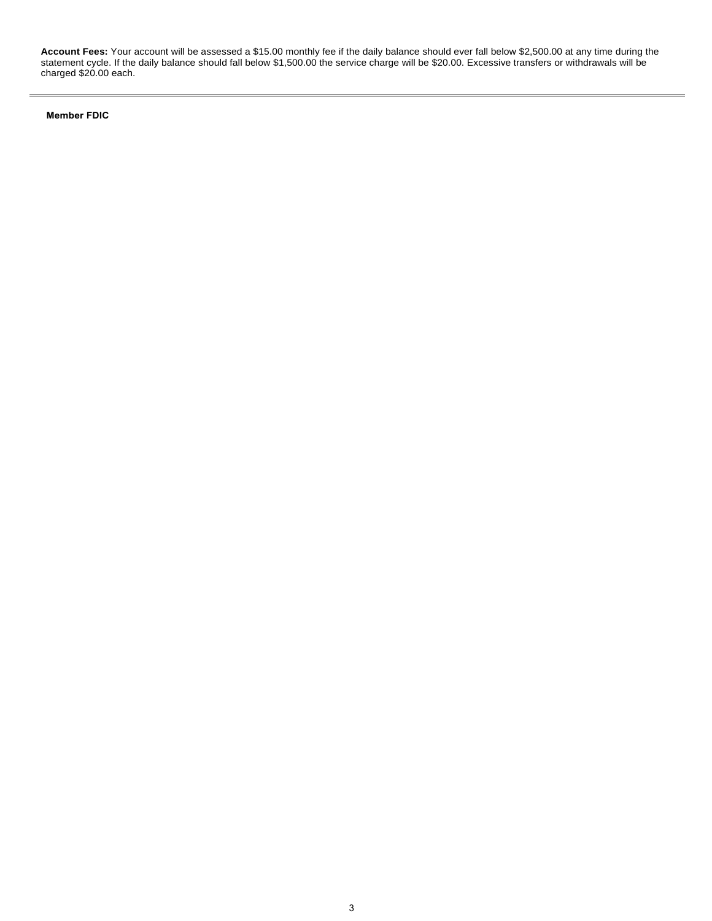**Account Fees:** Your account will be assessed a \$15.00 monthly fee if the daily balance should ever fall below \$2,500.00 at any time during the statement cycle. If the daily balance should fall below \$1,500.00 the service charge will be \$20.00. Excessive transfers or withdrawals will be charged \$20.00 each.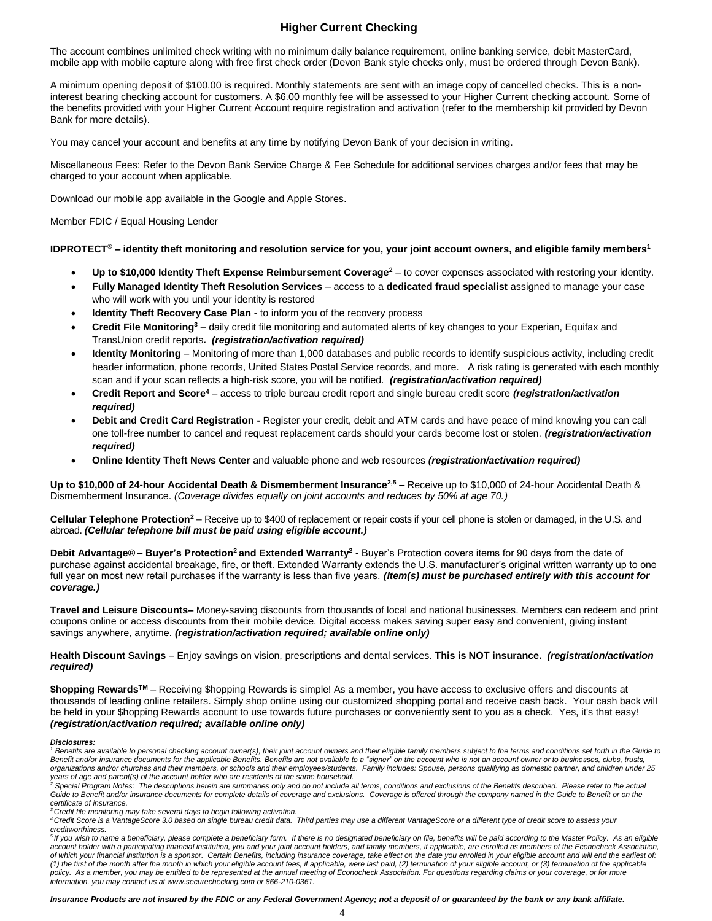## **Higher Current Checking**

<span id="page-3-0"></span>The account combines unlimited check writing with no minimum daily balance requirement, online banking service, debit MasterCard, mobile app with mobile capture along with free first check order (Devon Bank style checks only, must be ordered through Devon Bank).

A minimum opening deposit of \$100.00 is required. Monthly statements are sent with an image copy of cancelled checks. This is a noninterest bearing checking account for customers. A \$6.00 monthly fee will be assessed to your Higher Current checking account. Some of the benefits provided with your Higher Current Account require registration and activation (refer to the membership kit provided by Devon Bank for more details).

You may cancel your account and benefits at any time by notifying Devon Bank of your decision in writing.

Miscellaneous Fees: Refer to the Devon Bank Service Charge & Fee Schedule for additional services charges and/or fees that may be charged to your account when applicable.

Download our mobile app available in the Google and Apple Stores.

Member FDIC / Equal Housing Lender

## **IDPROTECT® – identity theft monitoring and resolution service for you, your joint account owners, and eligible family members<sup>1</sup>**

- **Up to \$10,000 Identity Theft Expense Reimbursement Coverage<sup>2</sup>** to cover expenses associated with restoring your identity.
- **Fully Managed Identity Theft Resolution Services** access to a **dedicated fraud specialist** assigned to manage your case who will work with you until your identity is restored
- **Identity Theft Recovery Case Plan**  to inform you of the recovery process
- **Credit File Monitoring<sup>3</sup>** daily credit file monitoring and automated alerts of key changes to your Experian, Equifax and TransUnion credit reports*. (registration/activation required)*
- **Identity Monitoring**  Monitoring of more than 1,000 databases and public records to identify suspicious activity, including credit header information, phone records, United States Postal Service records, and more. A risk rating is generated with each monthly scan and if your scan reflects a high-risk score, you will be notified. *(registration/activation required)*
- **Credit Report and Score<sup>4</sup>** access to triple bureau credit report and single bureau credit score *(registration/activation required)*
- **Debit and Credit Card Registration** Register your credit, debit and ATM cards and have peace of mind knowing you can call one toll-free number to cancel and request replacement cards should your cards become lost or stolen. *(registration/activation required)*
- **Online Identity Theft News Center** and valuable phone and web resources *(registration/activation required)*

**Up to \$10,000 of 24-hour Accidental Death & Dismemberment Insurance2,5 –** Receive up to \$10,000 of 24-hour Accidental Death & Dismemberment Insurance. *(Coverage divides equally on joint accounts and reduces by 50% at age 70.)*

**Cellular Telephone Protection<sup>2</sup>** – Receive up to \$400 of replacement or repair costs if your cell phone is stolen or damaged, in the U.S. and abroad. *(Cellular telephone bill must be paid using eligible account.)* 

**Debit Advantage® – Buyer's Protection<sup>2</sup>and Extended Warranty<sup>2</sup> -** Buyer's Protection covers items for 90 days from the date of purchase against accidental breakage, fire, or theft. Extended Warranty extends the U.S. manufacturer's original written warranty up to one full year on most new retail purchases if the warranty is less than five years. (Item(s) must be purchased entirely with this account for *coverage.)* 

**Travel and Leisure Discounts–** Money-saving discounts from thousands of local and national businesses. Members can redeem and print coupons online or access discounts from their mobile device. Digital access makes saving super easy and convenient, giving instant savings anywhere, anytime. *(registration/activation required; available online only)* 

**Health Discount Savings** – Enjoy savings on vision, prescriptions and dental services. **This is NOT insurance.** *(registration/activation required)* 

**\$hopping RewardsTM** – Receiving \$hopping Rewards is simple! As a member, you have access to exclusive offers and discounts at thousands of leading online retailers. Simply shop online using our customized shopping portal and receive cash back. Your cash back will be held in your \$hopping Rewards account to use towards future purchases or conveniently sent to you as a check. Yes, it's that easy! *(registration/activation required; available online only)*

## *Disclosures:*

<sup>1</sup> Benefits are available to personal checking account owner(s), their joint account owners and their eligible family members subject to the terms and conditions set forth in the Guide to Benefit and/or insurance documents for the applicable Benefits. Benefits are not available to a "signer" on the account who is not an account owner or to businesses, clubs, trusts, *organizations and/or churches and their members, or schools and their employees/students. Family includes: Spouse, persons qualifying as domestic partner, and children under 25*  years of age and parent(s) of the account holder who are residents of the same household.<br><sup>2</sup> Special Program Notes: The descriptions herein are summaries only and do not include all terms, conditions and exclusions of the

Guide to Benefit and/or insurance documents for complete details of coverage and exclusions. Coverage is offered through the company named in the Guide to Benefit or on the *certificate of insurance.*

*<sup>3</sup>Credit file monitoring may take several days to begin following activation.* 

*<sup>4</sup>Credit Score is a VantageScore 3.0 based on single bureau credit data. Third parties may use a different VantageScore or a different type of credit score to assess your*  creditworthiness.<br><sup>5</sup> If you wish to name a beneficiary, please complete a beneficiary form. If there is no designated beneficiary on file, benefits will be paid according to the Master Policy. As an eligible

account holder with a participating financial institution, you and your joint account holders, and family members, if applicable, are enrolled as members of the Econocheck Association, *of which your financial institution is a sponsor. Certain Benefits, including insurance coverage, take effect on the date you enrolled in your eligible account and will end the earliest of: (1) the first of the month after the month in which your eligible account fees, if applicable, were last paid, (2) termination of your eligible account, or (3) termination of the applicable policy. As a member, you may be entitled to be represented at the annual meeting of Econocheck Association. For questions regarding claims or your coverage, or for more information, you may contact us at www.securechecking.com or 866-210-0361.* 

*Insurance Products are not insured by the FDIC or any Federal Government Agency; not a deposit of or guaranteed by the bank or any bank affiliate.*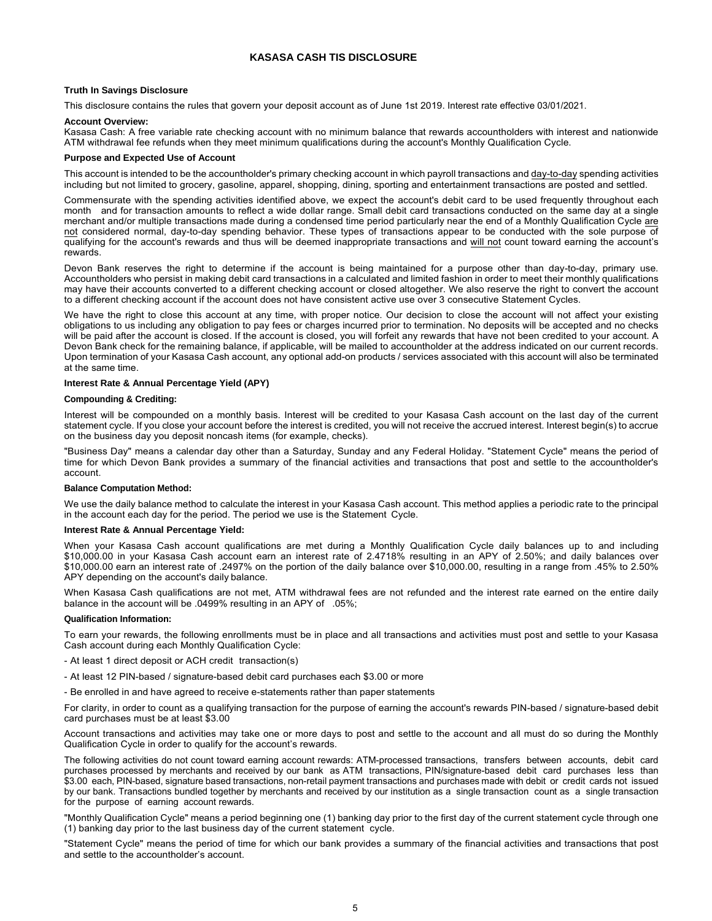## **[KASASA CAS](#page-3-0)H TIS DISCLOSURE**

## <span id="page-4-0"></span>**Truth In Savings Disclosure**

This disclosure contains the rules that govern your deposit account as of June 1st 2019. Interest rate effective 03/01/2021.

## **Account Overview:**

Kasasa Cash: A free variable rate checking account with no minimum balance that rewards accountholders with interest and nationwide ATM withdrawal fee refunds when they meet minimum qualifications during the account's Monthly Qualification Cycle.

## **Purpose and Expected Use of Account**

This account is intended to be the accountholder's primary checking account in which payroll transactions and day-to-day spending activities including but not limited to grocery, gasoline, apparel, shopping, dining, sporting and entertainment transactions are posted and settled.

Commensurate with the spending activities identified above, we expect the account's debit card to be used frequently throughout each month and for transaction amounts to reflect a wide dollar range. Small debit card transactions conducted on the same day at a single merchant and/or multiple transactions made during a condensed time period particularly near the end of a Monthly Qualification Cycle are not considered normal, day-to-day spending behavior. These types of transactions appear to be conducted with the sole purpose of qualifying for the account's rewards and thus will be deemed inappropriate transactions and will not count toward earning the account's rewards.

Devon Bank reserves the right to determine if the account is being maintained for a purpose other than day-to-day, primary use. Accountholders who persist in making debit card transactions in a calculated and limited fashion in order to meet their monthly qualifications may have their accounts converted to a different checking account or closed altogether. We also reserve the right to convert the account to a different checking account if the account does not have consistent active use over 3 consecutive Statement Cycles.

We have the right to close this account at any time, with proper notice. Our decision to close the account will not affect your existing obligations to us including any obligation to pay fees or charges incurred prior to termination. No deposits will be accepted and no checks will be paid after the account is closed. If the account is closed, you will forfeit any rewards that have not been credited to your account. A Devon Bank check for the remaining balance, if applicable, will be mailed to accountholder at the address indicated on our current records. Upon termination of your Kasasa Cash account, any optional add-on products / services associated with this account will also be terminated at the same time.

## **Interest Rate & Annual Percentage Yield (APY)**

## **Compounding & Crediting:**

Interest will be compounded on a monthly basis. Interest will be credited to your Kasasa Cash account on the last day of the current statement cycle. If you close your account before the interest is credited, you will not receive the accrued interest. Interest begin(s) to accrue on the business day you deposit noncash items (for example, checks).

"Business Day" means a calendar day other than a Saturday, Sunday and any Federal Holiday. "Statement Cycle" means the period of time for which Devon Bank provides a summary of the financial activities and transactions that post and settle to the accountholder's account.

## **Balance Computation Method:**

We use the daily balance method to calculate the interest in your Kasasa Cash account. This method applies a periodic rate to the principal in the account each day for the period. The period we use is the Statement Cycle.

## **Interest Rate & Annual Percentage Yield:**

When your Kasasa Cash account qualifications are met during a Monthly Qualification Cycle daily balances up to and including \$10,000.00 in your Kasasa Cash account earn an interest rate of 2.4718% resulting in an APY of 2.50%; and daily balances over \$10,000.00 earn an interest rate of .2497% on the portion of the daily balance over \$10,000.00, resulting in a range from .45% to 2.50% APY depending on the account's daily balance.

When Kasasa Cash qualifications are not met, ATM withdrawal fees are not refunded and the interest rate earned on the entire daily balance in the account will be .0499% resulting in an APY of .05%;

## **Qualification Information:**

To earn your rewards, the following enrollments must be in place and all transactions and activities must post and settle to your Kasasa Cash account during each Monthly Qualification Cycle:

- At least 1 direct deposit or ACH credit transaction(s)
- At least 12 PIN-based / signature-based debit card purchases each \$3.00 or more
- Be enrolled in and have agreed to receive e-statements rather than paper statements

For clarity, in order to count as a qualifying transaction for the purpose of earning the account's rewards PIN-based / signature-based debit card purchases must be at least \$3.00

Account transactions and activities may take one or more days to post and settle to the account and all must do so during the Monthly Qualification Cycle in order to qualify for the account's rewards.

The following activities do not count toward earning account rewards: ATM-processed transactions, transfers between accounts, debit card purchases processed by merchants and received by our bank as ATM transactions, PIN/signature-based debit card purchases less than \$3.00 each, PIN-based, signature based transactions, non-retail payment transactions and purchases made with debit or credit cards not issued by our bank. Transactions bundled together by merchants and received by our institution as a single transaction count as a single transaction for the purpose of earning account rewards.

"Monthly Qualification Cycle" means a period beginning one (1) banking day prior to the first day of the current statement cycle through one (1) banking day prior to the last business day of the current statement cycle.

"Statement Cycle" means the period of time for which our bank provides a summary of the financial activities and transactions that post and settle to the accountholder's account.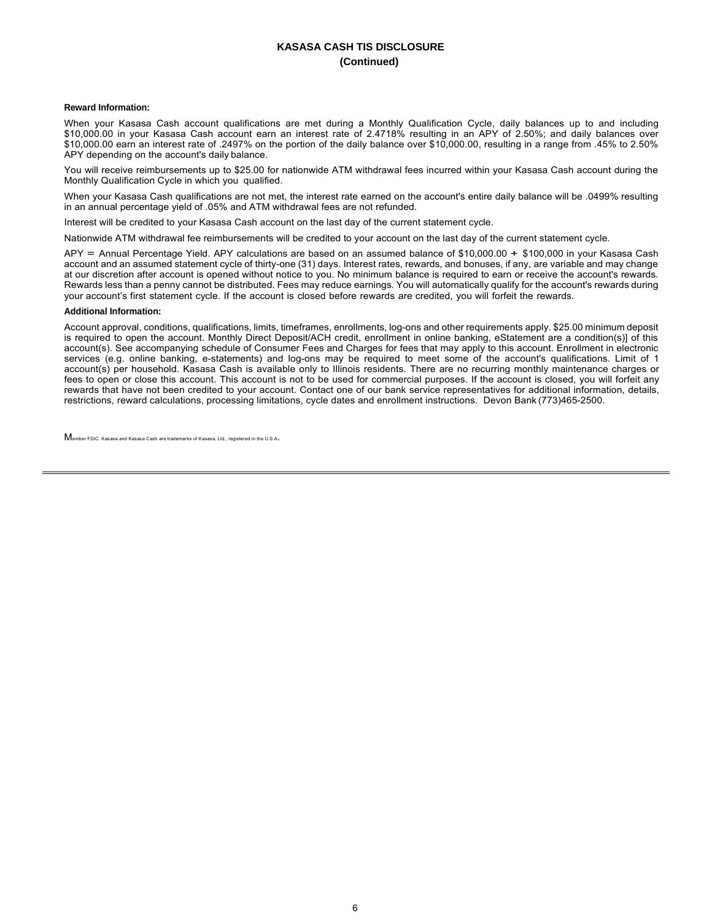## **KASASA CASH TIS DISCLOSURE (Continued)**

## **Reward Information:**

When your Kasasa Cash account qualifications are met during a Monthly Qualification Cycle, daily balances up to and including \$10,000.00 in your Kasasa Cash account earn an interest rate of 2.4718% resulting in an APY of 2.50%; and daily balances over \$10,000.00 earn an interest rate of .2497% on the portion of the daily balance over \$10,000.00, resulting in a range from .45% to 2.50% APY depending on the account's daily balance.

You will receive reimbursements up to \$25.00 for nationwide ATM withdrawal fees incurred within your Kasasa Cash account during the Monthly Qualification Cycle in which you qualified.

When your Kasasa Cash qualifications are not met, the interest rate earned on the account's entire daily balance will be .0499% resulting in an annual percentage yield of .05% and ATM withdrawal fees are not refunded.

Interest will be credited to your Kasasa Cash account on the last day of the current statement cycle.

Nationwide ATM withdrawal fee reimbursements will be credited to your account on the last day of the current statement cycle.

APY = Annual Percentage Yield. APY calculations are based on an assumed balance of \$10,000.00 + \$100,000 in your Kasasa Cash account and an assumed statement cycle of thirty-one (31) days. Interest rates, rewards, and bonuses, if any, are variable and may change at our discretion after account is opened without notice to you. No minimum balance is required to earn or receive the account's rewards. Rewards less than a penny cannot be distributed. Fees may reduce earnings. You will automatically qualify for the account's rewards during your account's first statement cycle. If the account is closed before rewards are credited, you will forfeit the rewards.

## **Additional Information:**

Account approval, conditions, qualifications, limits, timeframes, enrollments, log-ons and other requirements apply. \$25.00 minimum deposit is required to open the account. Monthly Direct Deposit/ACH credit, enrollment in online banking, eStatement are a condition(s)] of this account(s). See accompanying schedule of Consumer Fees and Charges for fees that may apply to this account. Enrollment in electronic services (e.g. online banking, e-statements) and log-ons may be required to meet some of the account's qualifications. Limit of 1 account(s) per household. Kasasa Cash is available only to Illinois residents. There are no recurring monthly maintenance charges or fees to open or close this account. This account is not to be used for commercial purposes. If the account is closed, you will forfeit any rewards that have not been credited to your account. Contact one of our bank service representatives for additional information, details, restrictions, reward calculations, processing limitations, cycle dates and enrollment instructions. Devon Bank (773)465-2500.

Member FDIC. Kasasa and Kasasa Cash are trademarks of Kasasa, Ltd., registered in the U.S.A.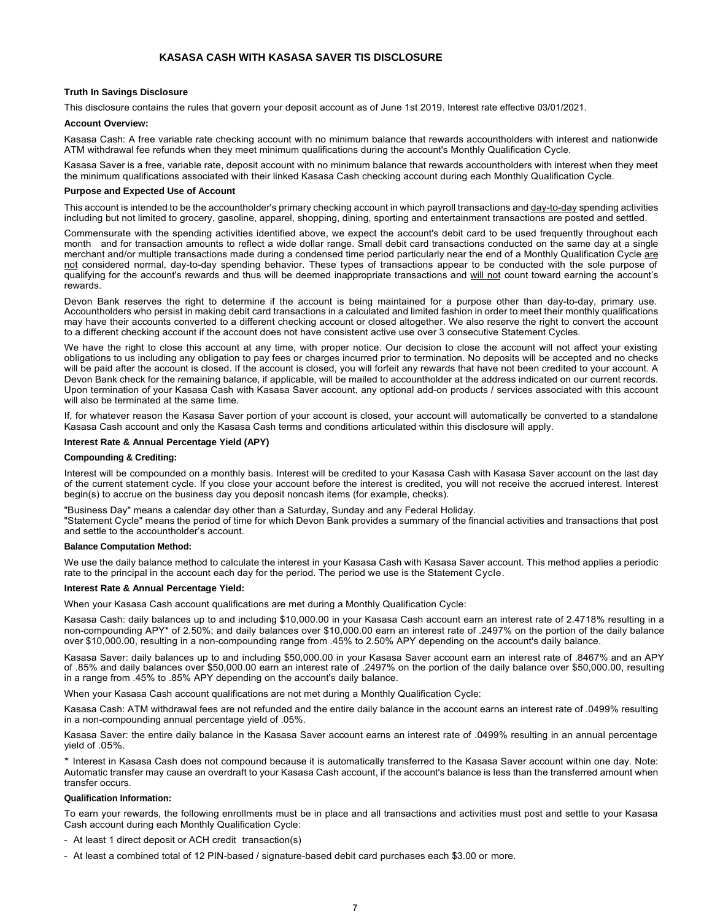## **KASASA CASH WITH KASASA SAVER TIS DISCLOSURE**

## <span id="page-6-0"></span>**Truth In Savings Disclosure**

This disclosure contains the rules that govern your deposit account as of June 1st 2019. Interest rate effective 03/01/2021.

## **Account Overview:**

Kasasa Cash: A free variable rate checking account with no minimum balance that rewards accountholders with interest and nationwide ATM withdrawal fee refunds when they meet minimum qualifications during the account's Monthly Qualification Cycle.

Kasasa Saver is a free, variable rate, deposit account with no minimum balance that rewards accountholders with interest when they meet the minimum qualifications associated with their linked Kasasa Cash checking account during each Monthly Qualification Cycle.

#### **Purpose and Expected Use of Account**

This account is intended to be the accountholder's primary checking account in which payroll transactions and day-to-day spending activities including but not limited to grocery, gasoline, apparel, shopping, dining, sporting and entertainment transactions are posted and settled.

Commensurate with the spending activities identified above, we expect the account's debit card to be used frequently throughout each month and for transaction amounts to reflect a wide dollar range. Small debit card transactions conducted on the same day at a single merchant and/or multiple transactions made during a condensed time period particularly near the end of a Monthly Qualification Cycle are not considered normal, day-to-day spending behavior. These types of transactions appear to be conducted with the sole purpose of qualifying for the account's rewards and thus will be deemed inappropriate transactions and will not count toward earning the account's **rewards** 

Devon Bank reserves the right to determine if the account is being maintained for a purpose other than day-to-day, primary use. Accountholders who persist in making debit card transactions in a calculated and limited fashion in order to meet their monthly qualifications may have their accounts converted to a different checking account or closed altogether. We also reserve the right to convert the account to a different checking account if the account does not have consistent active use over 3 consecutive Statement Cycles.

We have the right to close this account at any time, with proper notice. Our decision to close the account will not affect your existing obligations to us including any obligation to pay fees or charges incurred prior to termination. No deposits will be accepted and no checks will be paid after the account is closed. If the account is closed, you will forfeit any rewards that have not been credited to your account. A Devon Bank check for the remaining balance, if applicable, will be mailed to accountholder at the address indicated on our current records. Upon termination of your Kasasa Cash with Kasasa Saver account, any optional add-on products / services associated with this account will also be terminated at the same time.

If, for whatever reason the Kasasa Saver portion of your account is closed, your account will automatically be converted to a standalone Kasasa Cash account and only the Kasasa Cash terms and conditions articulated within this disclosure will apply.

## **Interest Rate & Annual Percentage Yield (APY)**

#### **Compounding & Crediting:**

Interest will be compounded on a monthly basis. Interest will be credited to your Kasasa Cash with Kasasa Saver account on the last day of the current statement cycle. If you close your account before the interest is credited, you will not receive the accrued interest. Interest begin(s) to accrue on the business day you deposit noncash items (for example, checks).

"Business Day" means a calendar day other than a Saturday, Sunday and any Federal Holiday. "Statement Cycle" means the period of time for which Devon Bank provides a summary of the financial activities and transactions that post and settle to the accountholder's account.

#### **Balance Computation Method:**

We use the daily balance method to calculate the interest in your Kasasa Cash with Kasasa Saver account. This method applies a periodic rate to the principal in the account each day for the period. The period we use is the Statement Cycle.

## **Interest Rate & Annual Percentage Yield:**

When your Kasasa Cash account qualifications are met during a Monthly Qualification Cycle:

Kasasa Cash: daily balances up to and including \$10,000.00 in your Kasasa Cash account earn an interest rate of 2.4718% resulting in a non-compounding APY\* of 2.50%; and daily balances over \$10,000.00 earn an interest rate of .2497% on the portion of the daily balance over \$10,000.00, resulting in a non-compounding range from .45% to 2.50% APY depending on the account's daily balance.

Kasasa Saver: daily balances up to and including \$50,000.00 in your Kasasa Saver account earn an interest rate of .8467% and an APY of .85% and daily balances over \$50,000.00 earn an interest rate of .2497% on the portion of the daily balance over \$50,000.00, resulting in a range from .45% to .85% APY depending on the account's daily balance.

When your Kasasa Cash account qualifications are not met during a Monthly Qualification Cycle:

Kasasa Cash: ATM withdrawal fees are not refunded and the entire daily balance in the account earns an interest rate of .0499% resulting in a non-compounding annual percentage yield of .05%.

Kasasa Saver: the entire daily balance in the Kasasa Saver account earns an interest rate of .0499% resulting in an annual percentage yield of .05%.

\* Interest in Kasasa Cash does not compound because it is automatically transferred to the Kasasa Saver account within one day. Note: Automatic transfer may cause an overdraft to your Kasasa Cash account, if the account's balance is less than the transferred amount when transfer occurs.

#### **Qualification Information:**

To earn your rewards, the following enrollments must be in place and all transactions and activities must post and settle to your Kasasa Cash account during each Monthly Qualification Cycle:

- At least 1 direct deposit or ACH credit transaction(s)
- At least a combined total of 12 PIN-based / signature-based debit card purchases each \$3.00 or more.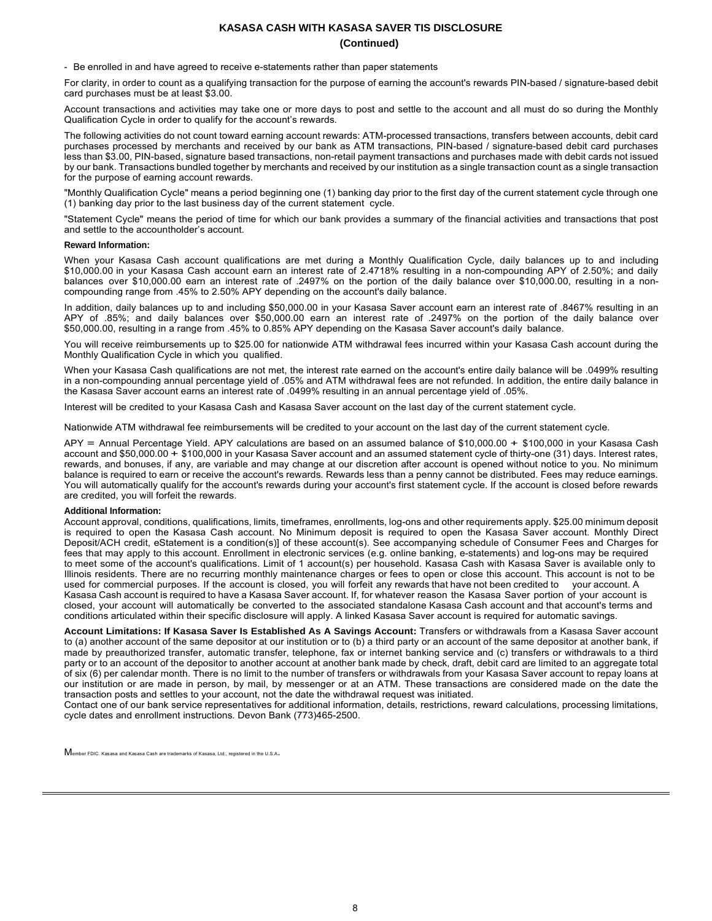## **KASASA CASH WITH KASASA SAVER TIS DISCLOSURE (Continued)**

- Be enrolled in and have agreed to receive e-statements rather than paper statements

For clarity, in order to count as a qualifying transaction for the purpose of earning the account's rewards PIN-based / signature-based debit card purchases must be at least \$3.00.

Account transactions and activities may take one or more days to post and settle to the account and all must do so during the Monthly Qualification Cycle in order to qualify for the account's rewards.

The following activities do not count toward earning account rewards: ATM-processed transactions, transfers between accounts, debit card purchases processed by merchants and received by our bank as ATM transactions, PIN-based / signature-based debit card purchases less than \$3.00, PIN-based, signature based transactions, non-retail payment transactions and purchases made with debit cards not issued by our bank. Transactions bundled together by merchants and received by our institution as a single transaction count as a single transaction for the purpose of earning account rewards.

"Monthly Qualification Cycle" means a period beginning one (1) banking day prior to the first day of the current statement cycle through one (1) banking day prior to the last business day of the current statement cycle.

"Statement Cycle" means the period of time for which our bank provides a summary of the financial activities and transactions that post and settle to the accountholder's account.

## **Reward Information:**

When your Kasasa Cash account qualifications are met during a Monthly Qualification Cycle, daily balances up to and including \$10,000.00 in your Kasasa Cash account earn an interest rate of 2.4718% resulting in a non-compounding APY of 2.50%; and daily balances over \$10,000.00 earn an interest rate of .2497% on the portion of the daily balance over \$10,000.00, resulting in a noncompounding range from .45% to 2.50% APY depending on the account's daily balance.

In addition, daily balances up to and including \$50,000.00 in your Kasasa Saver account earn an interest rate of .8467% resulting in an APY of .85%; and daily balances over \$50,000.00 earn an interest rate of .2497% on the portion of the daily balance over \$50,000.00, resulting in a range from .45% to 0.85% APY depending on the Kasasa Saver account's daily balance.

You will receive reimbursements up to \$25.00 for nationwide ATM withdrawal fees incurred within your Kasasa Cash account during the Monthly Qualification Cycle in which you qualified.

When your Kasasa Cash qualifications are not met, the interest rate earned on the account's entire daily balance will be .0499% resulting in a non-compounding annual percentage yield of .05% and ATM withdrawal fees are not refunded. In addition, the entire daily balance in the Kasasa Saver account earns an interest rate of .0499% resulting in an annual percentage yield of .05%.

Interest will be credited to your Kasasa Cash and Kasasa Saver account on the last day of the current statement cycle.

Nationwide ATM withdrawal fee reimbursements will be credited to your account on the last day of the current statement cycle.

APY = Annual Percentage Yield. APY calculations are based on an assumed balance of \$10,000.00 + \$100,000 in your Kasasa Cash account and \$50,000.00 + \$100,000 in your Kasasa Saver account and an assumed statement cycle of thirty-one (31) days. Interest rates, rewards, and bonuses, if any, are variable and may change at our discretion after account is opened without notice to you. No minimum balance is required to earn or receive the account's rewards. Rewards less than a penny cannot be distributed. Fees may reduce earnings. You will automatically qualify for the account's rewards during your account's first statement cycle. If the account is closed before rewards are credited, you will forfeit the rewards.

## **Additional Information:**

Account approval, conditions, qualifications, limits, timeframes, enrollments, log-ons and other requirements apply. \$25.00 minimum deposit is required to open the Kasasa Cash account. No Minimum deposit is required to open the Kasasa Saver account. Monthly Direct Deposit/ACH credit, eStatement is a condition(s)] of these account(s). See accompanying schedule of Consumer Fees and Charges for fees that may apply to this account. Enrollment in electronic services (e.g. online banking, e-statements) and log-ons may be required to meet some of the account's qualifications. Limit of 1 account(s) per household. Kasasa Cash with Kasasa Saver is available only to Illinois residents. There are no recurring monthly maintenance charges or fees to open or close this account. This account is not to be used for commercial purposes. If the account is closed, you will forfeit any rewards that have not been credited to your account. A Kasasa Cash account is required to have a Kasasa Saver account. If, for whatever reason the Kasasa Saver portion of your account is closed, your account will automatically be converted to the associated standalone Kasasa Cash account and that account's terms and conditions articulated within their specific disclosure will apply. A linked Kasasa Saver account is required for automatic savings.

**Account Limitations: If Kasasa Saver Is Established As A Savings Account:** Transfers or withdrawals from a Kasasa Saver account to (a) another account of the same depositor at our institution or to (b) a third party or an account of the same depositor at another bank, if made by preauthorized transfer, automatic transfer, telephone, fax or internet banking service and (c) transfers or withdrawals to a third party or to an account of the depositor to another account at another bank made by check, draft, debit card are limited to an aggregate total of six (6) per calendar month. There is no limit to the number of transfers or withdrawals from your Kasasa Saver account to repay loans at our institution or are made in person, by mail, by messenger or at an ATM. These transactions are considered made on the date the transaction posts and settles to your account, not the date the withdrawal request was initiated.

Contact one of our bank service representatives for additional information, details, restrictions, reward calculations, processing limitations, cycle dates and enrollment instructions. Devon Bank (773)465-2500.

Member FDIC. Kasasa and Kasasa Cash are trademarks of Kasasa, Ltd., registered in the U.S.A.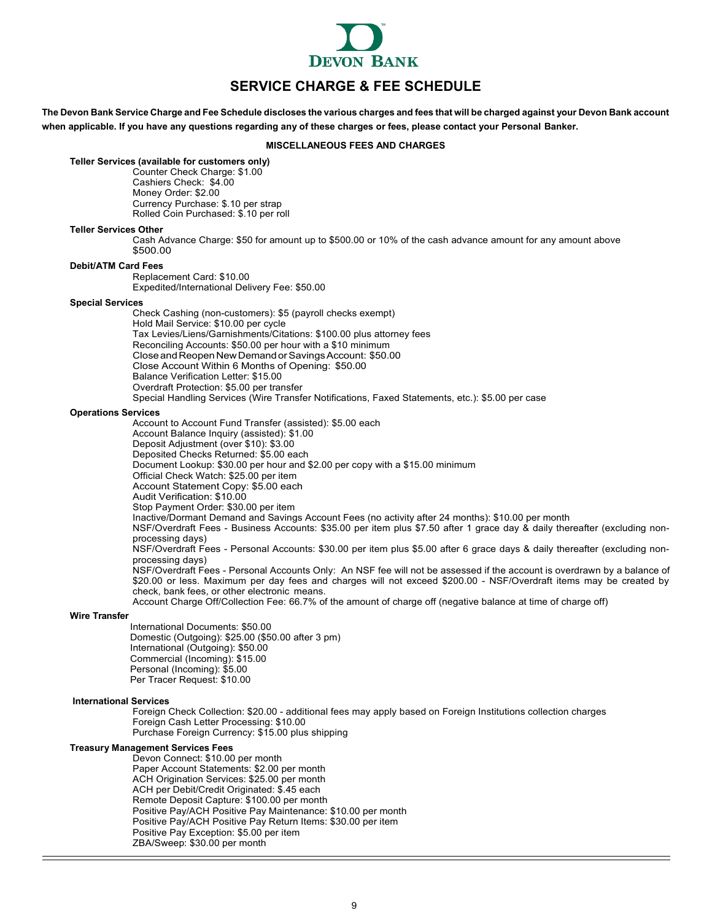

# **SERVICE CHARGE & FEE SCHEDULE**

<span id="page-8-0"></span>The Devon Bank Service Charge and Fee Schedule discloses the various charges and fees that will be charged against your Devon Bank account **when applicable. If you have any questions regarding any of these charges or fees, please contact your Personal Banker.**

## **MISCELLANEOUS FEES AND CHARGES**

## **Teller Services (available for customers only)**

Counter Check Charge: \$1.00 Cashiers Check: \$4.00 Money Order: \$2.00 Currency Purchase: \$.10 per strap Rolled Coin Purchased: \$.10 per roll

## **Teller Services Other**

Cash Advance Charge: \$50 for amount up to \$500.00 or 10% of the cash advance amount for any amount above \$500.00

## **Debit/ATM Card Fees**

Replacement Card: \$10.00 Expedited/International Delivery Fee: \$50.00

#### **Special Services**

Check Cashing (non-customers): \$5 (payroll checks exempt) Hold Mail Service: \$10.00 per cycle Tax Levies/Liens/Garnishments/Citations: \$100.00 plus attorney fees Reconciling Accounts: \$50.00 per hour with a \$10 minimum Close and Reopen New Demand or Savings Account: \$50.00 Close Account Within 6 Months of Opening: \$50.00 Balance Verification Letter: \$15.00 Overdraft Protection: \$5.00 per transfer Special Handling Services (Wire Transfer Notifications, Faxed Statements, etc.): \$5.00 per case

#### **Operations Services**

Account to Account Fund Transfer (assisted): \$5.00 each Account Balance Inquiry (assisted): \$1.00 Deposit Adjustment (over \$10): \$3.00 Deposited Checks Returned: \$5.00 each Document Lookup: \$30.00 per hour and \$2.00 per copy with a \$15.00 minimum Official Check Watch: \$25.00 per item Account Statement Copy: \$5.00 each Audit Verification: \$10.00 Stop Payment Order: \$30.00 per item Inactive/Dormant Demand and Savings Account Fees (no activity after 24 months): \$10.00 per month NSF/Overdraft Fees - Business Accounts: \$35.00 per item plus \$7.50 after 1 grace day & daily thereafter (excluding nonprocessing days) NSF/Overdraft Fees - Personal Accounts: \$30.00 per item plus \$5.00 after 6 grace days & daily thereafter (excluding nonprocessing days) NSF/Overdraft Fees - Personal Accounts Only: An NSF fee will not be assessed if the account is overdrawn by a balance of \$20.00 or less. Maximum per day fees and charges will not exceed \$200.00 - NSF/Overdraft items may be created by check, bank fees, or other electronic means. Account Charge Off/Collection Fee: 66.7% of the amount of charge off (negative balance at time of charge off)

#### **Wire Transfer**

International Documents: \$50.00 Domestic (Outgoing): \$25.00 (\$50.00 after 3 pm) International (Outgoing): \$50.00 Commercial (Incoming): \$15.00 Personal (Incoming): \$5.00 Per Tracer Request: \$10.00

#### **International Services**

Foreign Check Collection: \$20.00 - additional fees may apply based on Foreign Institutions collection charges Foreign Cash Letter Processing: \$10.00 Purchase Foreign Currency: \$15.00 plus shipping

## **Treasury Management Services Fees**

Devon Connect: \$10.00 per month Paper Account Statements: \$2.00 per month ACH Origination Services: \$25.00 per month ACH per Debit/Credit Originated: \$.45 each Remote Deposit Capture: \$100.00 per month Positive Pay/ACH Positive Pay Maintenance: \$10.00 per month Positive Pay/ACH Positive Pay Return Items: \$30.00 per item Positive Pay Exception: \$5.00 per item ZBA/Sweep: \$30.00 per month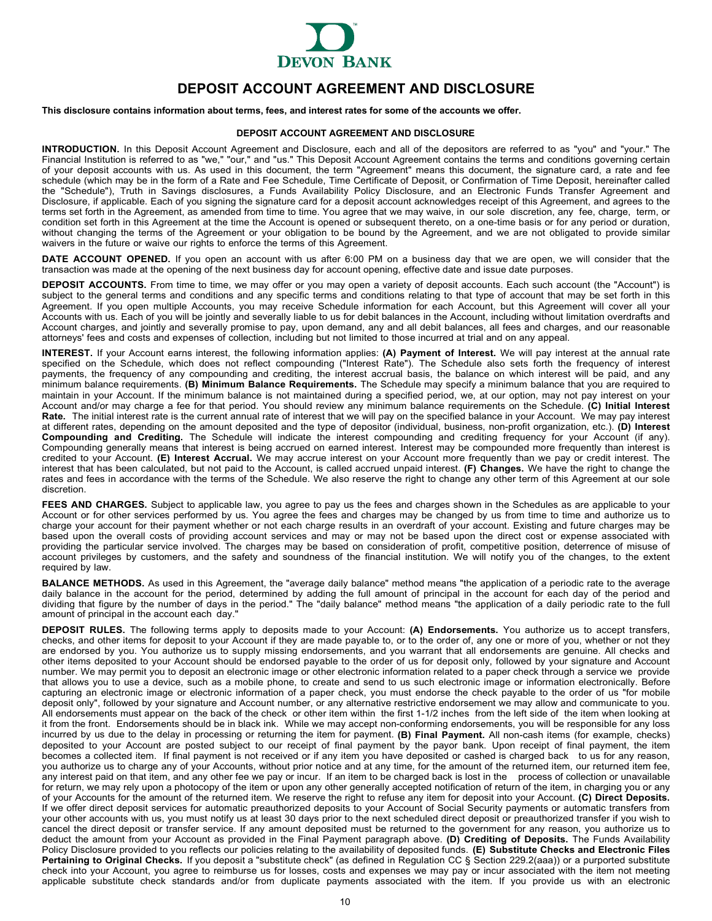

# **DEPOSIT ACCOUNT AGREEMENT AND DISCLOSURE**

<span id="page-9-0"></span>**This disclosure contains information about terms, fees, and interest rates for some of the accounts we offer.**

## **DEPOSIT ACCOUNT AGREEMENT AND DISCLOSURE**

**INTRODUCTION.** In this Deposit Account Agreement and Disclosure, each and all of the depositors are referred to as "you" and "your." The Financial Institution is referred to as "we," "our," and "us." This Deposit Account Agreement contains the terms and conditions governing certain of your deposit accounts with us. As used in this document, the term "Agreement" means this document, the signature card, a rate and fee schedule (which may be in the form of a Rate and Fee Schedule, Time Certificate of Deposit, or Confirmation of Time Deposit, hereinafter called the "Schedule"), Truth in Savings disclosures, a Funds Availability Policy Disclosure, and an Electronic Funds Transfer Agreement and Disclosure, if applicable. Each of you signing the signature card for a deposit account acknowledges receipt of this Agreement, and agrees to the terms set forth in the Agreement, as amended from time to time. You agree that we may waive, in our sole discretion, any fee, charge, term, or condition set forth in this Agreement at the time the Account is opened or subsequent thereto, on a one-time basis or for any period or duration, without changing the terms of the Agreement or your obligation to be bound by the Agreement, and we are not obligated to provide similar waivers in the future or waive our rights to enforce the terms of this Agreement.

**DATE ACCOUNT OPENED.** If you open an account with us after 6:00 PM on a business day that we are open, we will consider that the transaction was made at the opening of the next business day for account opening, effective date and issue date purposes.

**DEPOSIT ACCOUNTS.** From time to time, we may offer or you may open a variety of deposit accounts. Each such account (the "Account") is subject to the general terms and conditions and any specific terms and conditions relating to that type of account that may be set forth in this Agreement. If you open multiple Accounts, you may receive Schedule information for each Account, but this Agreement will cover all your Accounts with us. Each of you will be jointly and severally liable to us for debit balances in the Account, including without limitation overdrafts and Account charges, and jointly and severally promise to pay, upon demand, any and all debit balances, all fees and charges, and our reasonable attorneys' fees and costs and expenses of collection, including but not limited to those incurred at trial and on any appeal.

**INTEREST.** If your Account earns interest, the following information applies: **(A) Payment of Interest.** We will pay interest at the annual rate specified on the Schedule, which does not reflect compounding ("Interest Rate"). The Schedule also sets forth the frequency of interest payments, the frequency of any compounding and crediting, the interest accrual basis, the balance on which interest will be paid, and any minimum balance requirements. **(B) Minimum Balance Requirements.** The Schedule may specify a minimum balance that you are required to maintain in your Account. If the minimum balance is not maintained during a specified period, we, at our option, may not pay interest on your Account and/or may charge a fee for that period. You should review any minimum balance requirements on the Schedule. **(C) Initial Interest Rate.** The initial interest rate is the current annual rate of interest that we will pay on the specified balance in your Account. We may pay interest at different rates, depending on the amount deposited and the type of depositor (individual, business, non-profit organization, etc.). **(D) Interest Compounding and Crediting.** The Schedule will indicate the interest compounding and crediting frequency for your Account (if any). Compounding generally means that interest is being accrued on earned interest. Interest may be compounded more frequently than interest is credited to your Account. **(E) Interest Accrual.** We may accrue interest on your Account more frequently than we pay or credit interest. The interest that has been calculated, but not paid to the Account, is called accrued unpaid interest. **(F) Changes.** We have the right to change the rates and fees in accordance with the terms of the Schedule. We also reserve the right to change any other term of this Agreement at our sole discretion.

FEES AND CHARGES. Subject to applicable law, you agree to pay us the fees and charges shown in the Schedules as are applicable to your Account or for other services performed by us. You agree the fees and charges may be changed by us from time to time and authorize us to charge your account for their payment whether or not each charge results in an overdraft of your account. Existing and future charges may be based upon the overall costs of providing account services and may or may not be based upon the direct cost or expense associated with providing the particular service involved. The charges may be based on consideration of profit, competitive position, deterrence of misuse of account privileges by customers, and the safety and soundness of the financial institution. We will notify you of the changes, to the extent required by law.

**BALANCE METHODS.** As used in this Agreement, the "average daily balance" method means "the application of a periodic rate to the average daily balance in the account for the period, determined by adding the full amount of principal in the account for each day of the period and dividing that figure by the number of days in the period." The "daily balance" method means "the application of a daily periodic rate to the full amount of principal in the account each day."

**DEPOSIT RULES.** The following terms apply to deposits made to your Account: **(A) Endorsements.** You authorize us to accept transfers, checks, and other items for deposit to your Account if they are made payable to, or to the order of, any one or more of you, whether or not they are endorsed by you. You authorize us to supply missing endorsements, and you warrant that all endorsements are genuine. All checks and other items deposited to your Account should be endorsed payable to the order of us for deposit only, followed by your signature and Account number. We may permit you to deposit an electronic image or other electronic information related to a paper check through a service we provide that allows you to use a device, such as a mobile phone, to create and send to us such electronic image or information electronically. Before capturing an electronic image or electronic information of a paper check, you must endorse the check payable to the order of us "for mobile deposit only", followed by your signature and Account number, or any alternative restrictive endorsement we may allow and communicate to you. All endorsements must appear on the back of the check or other item within the first 1-1/2 inches from the left side of the item when looking at it from the front. Endorsements should be in black ink. While we may accept non-conforming endorsements, you will be responsible for any loss incurred by us due to the delay in processing or returning the item for payment. **(B) Final Payment.** All non-cash items (for example, checks) deposited to your Account are posted subject to our receipt of final payment by the payor bank. Upon receipt of final payment, the item becomes a collected item. If final payment is not received or if any item you have deposited or cashed is charged back to us for any reason, you authorize us to charge any of your Accounts, without prior notice and at any time, for the amount of the returned item, our returned item fee, any interest paid on that item, and any other fee we pay or incur. If an item to be charged back is lost in the process of collection or unavailable for return, we may rely upon a photocopy of the item or upon any other generally accepted notification of return of the item, in charging you or any of your Accounts for the amount of the returned item. We reserve the right to refuse any item for deposit into your Account. **(C) Direct Deposits.** If we offer direct deposit services for automatic preauthorized deposits to your Account of Social Security payments or automatic transfers from your other accounts with us, you must notify us at least 30 days prior to the next scheduled direct deposit or preauthorized transfer if you wish to cancel the direct deposit or transfer service. If any amount deposited must be returned to the government for any reason, you authorize us to deduct the amount from your Account as provided in the Final Payment paragraph above. **(D) Crediting of Deposits.** The Funds Availability Policy Disclosure provided to you reflects our policies relating to the availability of deposited funds. **(E) Substitute Checks and Electronic Files Pertaining to Original Checks.** If you deposit a "substitute check" (as defined in Regulation CC § Section 229.2(aaa)) or a purported substitute check into your Account, you agree to reimburse us for losses, costs and expenses we may pay or incur associated with the item not meeting applicable substitute check standards and/or from duplicate payments associated with the item. If you provide us with an electronic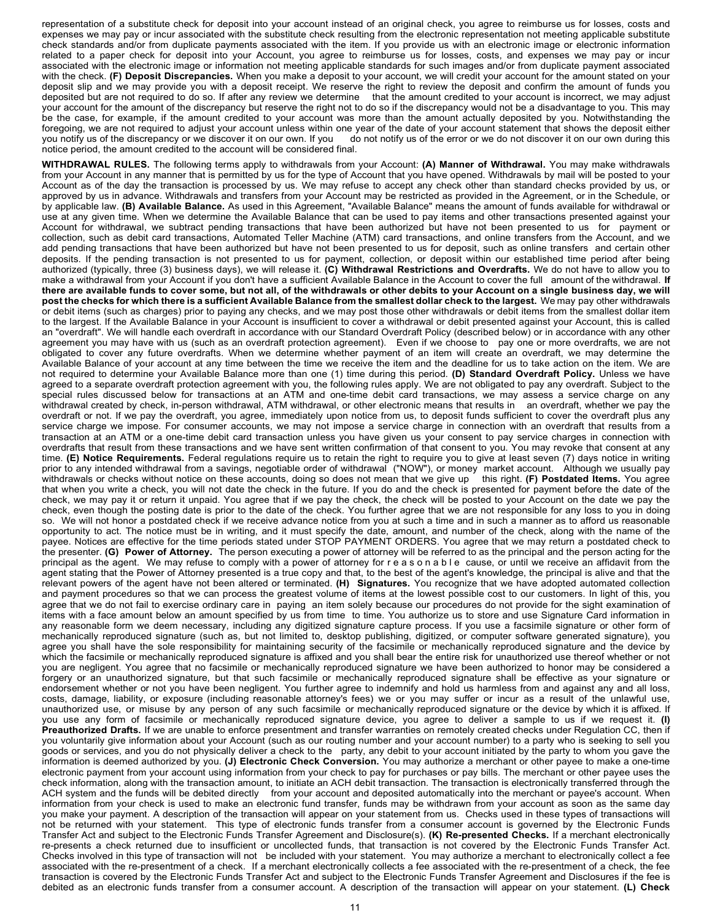representation of a substitute check for deposit into your account instead of an original check, you agree to reimburse us for losses, costs and expenses we may pay or incur associated with the substitute check resulting from the electronic representation not meeting applicable substitute check standards and/or from duplicate payments associated with the item. If you provide us with an electronic image or electronic information related to a paper check for deposit into your Account, you agree to reimburse us for losses, costs, and expenses we may pay or incur associated with the electronic image or information not meeting applicable standards for such images and/or from duplicate payment associated with the check. **(F) Deposit Discrepancies.** When you make a deposit to your account, we will credit your account for the amount stated on your deposit slip and we may provide you with a deposit receipt. We reserve the right to review the deposit and confirm the amount of funds you deposited but are not required to do so. If after any review we determine that the amount credited to your account is incorrect, we may adjust your account for the amount of the discrepancy but reserve the right not to do so if the discrepancy would not be a disadvantage to you. This may be the case, for example, if the amount credited to your account was more than the amount actually deposited by you. Notwithstanding the foregoing, we are not required to adjust your account unless within one year of the date of your account statement that shows the deposit either<br>you notify us of the discrepancy or we discover it on our own. If you do not do not notify us of the error or we do not discover it on our own during this notice period, the amount credited to the account will be considered final.

**WITHDRAWAL RULES.** The following terms apply to withdrawals from your Account: **(A) Manner of Withdrawal.** You may make withdrawals from your Account in any manner that is permitted by us for the type of Account that you have opened. Withdrawals by mail will be posted to your Account as of the day the transaction is processed by us. We may refuse to accept any check other than standard checks provided by us, or approved by us in advance. Withdrawals and transfers from your Account may be restricted as provided in the Agreement, or in the Schedule, or by applicable law. **(B) Available Balance.** As used in this Agreement, "Available Balance" means the amount of funds available for withdrawal or use at any given time. When we determine the Available Balance that can be used to pay items and other transactions presented against your Account for withdrawal, we subtract pending transactions that have been authorized but have not been presented to us for payment or collection, such as debit card transactions, Automated Teller Machine (ATM) card transactions, and online transfers from the Account, and we add pending transactions that have been authorized but have not been presented to us for deposit, such as online transfers and certain other deposits. If the pending transaction is not presented to us for payment, collection, or deposit within our established time period after being authorized (typically, three (3) business days), we will release it. **(C) Withdrawal Restrictions and Overdrafts.** We do not have to allow you to make a withdrawal from your Account if you don't have a sufficient Available Balance in the Account to cover the full amount of the withdrawal. **If** there are available funds to cover some, but not all, of the withdrawals or other debits to your Account on a single business day, we will post the checks for which there is a sufficient Available Balance from the smallest dollar check to the largest. We may pay other withdrawals or debit items (such as charges) prior to paying any checks, and we may post those other withdrawals or debit items from the smallest dollar item to the largest. If the Available Balance in your Account is insufficient to cover a withdrawal or debit presented against your Account, this is called an "overdraft". We will handle each overdraft in accordance with our Standard Overdraft Policy (described below) or in accordance with any other agreement you may have with us (such as an overdraft protection agreement). Even if we choose to pay one or more overdrafts, we are not obligated to cover any future overdrafts. When we determine whether payment of an item will create an overdraft, we may determine the Available Balance of your account at any time between the time we receive the item and the deadline for us to take action on the item. We are not required to determine your Available Balance more than one (1) time during this period. **(D) Standard Overdraft Policy.** Unless we have agreed to a separate overdraft protection agreement with you, the following rules apply. We are not obligated to pay any overdraft. Subject to the special rules discussed below for transactions at an ATM and one-time debit card transactions, we may assess a service charge on any withdrawal created by check, in-person withdrawal, ATM withdrawal, or other electronic means that results in an overdraft, whether we pay the overdraft or not. If we pay the overdraft, you agree, immediately upon notice from us, to deposit funds sufficient to cover the overdraft plus any service charge we impose. For consumer accounts, we may not impose a service charge in connection with an overdraft that results from a transaction at an ATM or a one-time debit card transaction unless you have given us your consent to pay service charges in connection with overdrafts that result from these transactions and we have sent written confirmation of that consent to you. You may revoke that consent at any time. **(E) Notice Requirements.** Federal regulations require us to retain the right to require you to give at least seven (7) days notice in writing prior to any intended withdrawal from a savings, negotiable order of withdrawal ("NOW"), or money market account. Although we usually pay withdrawals or checks without notice on these accounts, doing so does not mean that we give up this right. **(F) Postdated Items.** You agree that when you write a check, you will not date the check in the future. If you do and the check is presented for payment before the date of the check, we may pay it or return it unpaid. You agree that if we pay the check, the check will be posted to your Account on the date we pay the check, even though the posting date is prior to the date of the check. You further agree that we are not responsible for any loss to you in doing so. We will not honor a postdated check if we receive advance notice from you at such a time and in such a manner as to afford us reasonable opportunity to act. The notice must be in writing, and it must specify the date, amount, and number of the check, along with the name of the payee. Notices are effective for the time periods stated under STOP PAYMENT ORDERS. You agree that we may return a postdated check to the presenter. **(G) Power of Attorney.** The person executing a power of attorney will be referred to as the principal and the person acting for the principal as the agent. We may refuse to comply with a power of attorney for reasonable cause, or until we receive an affidavit from the agent stating that the Power of Attorney presented is a true copy and that, to the best of the agent's knowledge, the principal is alive and that the relevant powers of the agent have not been altered or terminated. **(H) Signatures.** You recognize that we have adopted automated collection and payment procedures so that we can process the greatest volume of items at the lowest possible cost to our customers. In light of this, you agree that we do not fail to exercise ordinary care in paying an item solely because our procedures do not provide for the sight examination of items with a face amount below an amount specified by us from time to time. You authorize us to store and use Signature Card information in any reasonable form we deem necessary, including any digitized signature capture process. If you use a facsimile signature or other form of mechanically reproduced signature (such as, but not limited to, desktop publishing, digitized, or computer software generated signature), you agree you shall have the sole responsibility for maintaining security of the facsimile or mechanically reproduced signature and the device by which the facsimile or mechanically reproduced signature is affixed and you shall bear the entire risk for unauthorized use thereof whether or not you are negligent. You agree that no facsimile or mechanically reproduced signature we have been authorized to honor may be considered a forgery or an unauthorized signature, but that such facsimile or mechanically reproduced signature shall be effective as your signature or endorsement whether or not you have been negligent. You further agree to indemnify and hold us harmless from and against any and all loss, costs, damage, liability, or exposure (including reasonable attorney's fees) we or you may suffer or incur as a result of the unlawful use, unauthorized use, or misuse by any person of any such facsimile or mechanically reproduced signature or the device by which it is affixed. If you use any form of facsimile or mechanically reproduced signature device, you agree to deliver a sample to us if we request it. **(I) Preauthorized Drafts.** If we are unable to enforce presentment and transfer warranties on remotely created checks under Regulation CC, then if you voluntarily give information about your Account (such as our routing number and your account number) to a party who is seeking to sell you goods or services, and you do not physically deliver a check to the party, any debit to your account initiated by the party to whom you gave the information is deemed authorized by you. **(J) Electronic Check Conversion.** You may authorize a merchant or other payee to make a one-time electronic payment from your account using information from your check to pay for purchases or pay bills. The merchant or other payee uses the check information, along with the transaction amount, to initiate an ACH debit transaction. The transaction is electronically transferred through the ACH system and the funds will be debited directly from your account and deposited automatically into the merchant or payee's account. When information from your check is used to make an electronic fund transfer, funds may be withdrawn from your account as soon as the same day you make your payment. A description of the transaction will appear on your statement from us. Checks used in these types of transactions will not be returned with your statement. This type of electronic funds transfer from a consumer account is governed by the Electronic Funds Transfer Act and subject to the Electronic Funds Transfer Agreement and Disclosure(s). **(K) Re-presented Checks.** If a merchant electronically re-presents a check returned due to insufficient or uncollected funds, that transaction is not covered by the Electronic Funds Transfer Act. Checks involved in this type of transaction will not be included with your statement. You may authorize a merchant to electronically collect a fee associated with the re-presentment of a check. If a merchant electronically collects a fee associated with the re-presentment of a check, the fee transaction is covered by the Electronic Funds Transfer Act and subject to the Electronic Funds Transfer Agreement and Disclosures if the fee is debited as an electronic funds transfer from a consumer account. A description of the transaction will appear on your statement. **(L) Check**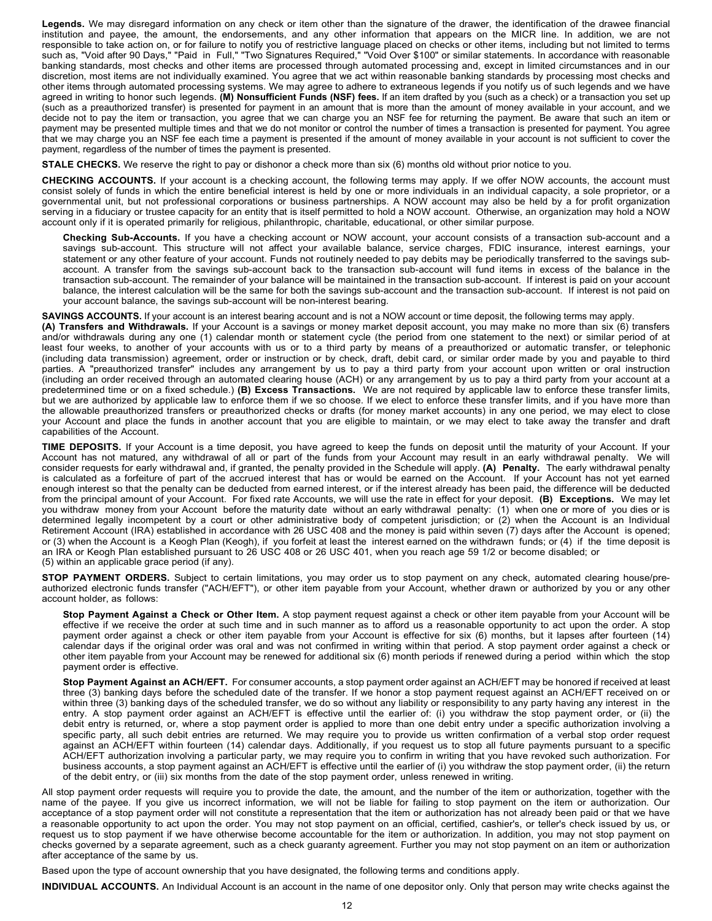**Legends.** We may disregard information on any check or item other than the signature of the drawer, the identification of the drawee financial institution and payee, the amount, the endorsements, and any other information that appears on the MICR line. In addition, we are not responsible to take action on, or for failure to notify you of restrictive language placed on checks or other items, including but not limited to terms such as, "Void after 90 Days," "Paid in Full," "Two Signatures Required," "Void Over \$100" or similar statements. In accordance with reasonable banking standards, most checks and other items are processed through automated processing and, except in limited circumstances and in our discretion, most items are not individually examined. You agree that we act within reasonable banking standards by processing most checks and other items through automated processing systems. We may agree to adhere to extraneous legends if you notify us of such legends and we have agreed in writing to honor such legends. **(M) Nonsufficient Funds (NSF) fees.** If an item drafted by you (such as a check) or a transaction you set up (such as a preauthorized transfer) is presented for payment in an amount that is more than the amount of money available in your account, and we decide not to pay the item or transaction, you agree that we can charge you an NSF fee for returning the payment. Be aware that such an item or payment may be presented multiple times and that we do not monitor or control the number of times a transaction is presented for payment. You agree that we may charge you an NSF fee each time a payment is presented if the amount of money available in your account is not sufficient to cover the payment, regardless of the number of times the payment is presented.

**STALE CHECKS.** We reserve the right to pay or dishonor a check more than six (6) months old without prior notice to you.

**CHECKING ACCOUNTS.** If your account is a checking account, the following terms may apply. If we offer NOW accounts, the account must consist solely of funds in which the entire beneficial interest is held by one or more individuals in an individual capacity, a sole proprietor, or a governmental unit, but not professional corporations or business partnerships. A NOW account may also be held by a for profit organization serving in a fiduciary or trustee capacity for an entity that is itself permitted to hold a NOW account. Otherwise, an organization may hold a NOW account only if it is operated primarily for religious, philanthropic, charitable, educational, or other similar purpose.

**Checking Sub-Accounts.** If you have a checking account or NOW account, your account consists of a transaction sub-account and a savings sub-account. This structure will not affect your available balance, service charges, FDIC insurance, interest earnings, your statement or any other feature of your account. Funds not routinely needed to pay debits may be periodically transferred to the savings subaccount. A transfer from the savings sub-account back to the transaction sub-account will fund items in excess of the balance in the transaction sub-account. The remainder of your balance will be maintained in the transaction sub-account. If interest is paid on your account balance, the interest calculation will be the same for both the savings sub-account and the transaction sub-account. If interest is not paid on your account balance, the savings sub-account will be non-interest bearing.

**SAVINGS ACCOUNTS.** If your account is an interest bearing account and is not a NOW account or time deposit, the following terms may apply.

**(A) Transfers and Withdrawals.** If your Account is a savings or money market deposit account, you may make no more than six (6) transfers and/or withdrawals during any one (1) calendar month or statement cycle (the period from one statement to the next) or similar period of at least four weeks, to another of your accounts with us or to a third party by means of a preauthorized or automatic transfer, or telephonic (including data transmission) agreement, order or instruction or by check, draft, debit card, or similar order made by you and payable to third parties. A "preauthorized transfer" includes any arrangement by us to pay a third party from your account upon written or oral instruction (including an order received through an automated clearing house (ACH) or any arrangement by us to pay a third party from your account at a predetermined time or on a fixed schedule.) **(B) Excess Transactions.** We are not required by applicable law to enforce these transfer limits, but we are authorized by applicable law to enforce them if we so choose. If we elect to enforce these transfer limits, and if you have more than the allowable preauthorized transfers or preauthorized checks or drafts (for money market accounts) in any one period, we may elect to close your Account and place the funds in another account that you are eligible to maintain, or we may elect to take away the transfer and draft capabilities of the Account.

**TIME DEPOSITS.** If your Account is a time deposit, you have agreed to keep the funds on deposit until the maturity of your Account. If your Account has not matured, any withdrawal of all or part of the funds from your Account may result in an early withdrawal penalty. We will consider requests for early withdrawal and, if granted, the penalty provided in the Schedule will apply. **(A) Penalty.** The early withdrawal penalty is calculated as a forfeiture of part of the accrued interest that has or would be earned on the Account. If your Account has not yet earned enough interest so that the penalty can be deducted from earned interest, or if the interest already has been paid, the difference will be deducted from the principal amount of your Account. For fixed rate Accounts, we will use the rate in effect for your deposit. **(B) Exceptions.** We may let you withdraw money from your Account before the maturity date without an early withdrawal penalty: (1) when one or more of you dies or is determined legally incompetent by a court or other administrative body of competent jurisdiction; or (2) when the Account is an Individual Retirement Account (IRA) established in accordance with 26 USC 408 and the money is paid within seven (7) days after the Account is opened; or (3) when the Account is a Keogh Plan (Keogh), if you forfeit at least the interest earned on the withdrawn funds; or (4) if the time deposit is an IRA or Keogh Plan established pursuant to 26 USC 408 or 26 USC 401, when you reach age 59 1/2 or become disabled; or (5) within an applicable grace period (if any).

**STOP PAYMENT ORDERS.** Subject to certain limitations, you may order us to stop payment on any check, automated clearing house/preauthorized electronic funds transfer ("ACH/EFT"), or other item payable from your Account, whether drawn or authorized by you or any other account holder, as follows:

**Stop Payment Against a Check or Other Item.** A stop payment request against a check or other item payable from your Account will be effective if we receive the order at such time and in such manner as to afford us a reasonable opportunity to act upon the order. A stop payment order against a check or other item payable from your Account is effective for six (6) months, but it lapses after fourteen (14) calendar days if the original order was oral and was not confirmed in writing within that period. A stop payment order against a check or other item payable from your Account may be renewed for additional six (6) month periods if renewed during a period within which the stop payment order is effective.

**Stop Payment Against an ACH/EFT.** For consumer accounts, a stop payment order against an ACH/EFT may be honored if received at least three (3) banking days before the scheduled date of the transfer. If we honor a stop payment request against an ACH/EFT received on or within three (3) banking days of the scheduled transfer, we do so without any liability or responsibility to any party having any interest in the entry. A stop payment order against an ACH/EFT is effective until the earlier of: (i) you withdraw the stop payment order, or (ii) the debit entry is returned, or, where a stop payment order is applied to more than one debit entry under a specific authorization involving a specific party, all such debit entries are returned. We may require you to provide us written confirmation of a verbal stop order request against an ACH/EFT within fourteen (14) calendar days. Additionally, if you request us to stop all future payments pursuant to a specific ACH/EFT authorization involving a particular party, we may require you to confirm in writing that you have revoked such authorization. For business accounts, a stop payment against an ACH/EFT is effective until the earlier of (i) you withdraw the stop payment order, (ii) the return of the debit entry, or (iii) six months from the date of the stop payment order, unless renewed in writing.

All stop payment order requests will require you to provide the date, the amount, and the number of the item or authorization, together with the name of the payee. If you give us incorrect information, we will not be liable for failing to stop payment on the item or authorization. Our acceptance of a stop payment order will not constitute a representation that the item or authorization has not already been paid or that we have a reasonable opportunity to act upon the order. You may not stop payment on an official, certified, cashier's, or teller's check issued by us, or request us to stop payment if we have otherwise become accountable for the item or authorization. In addition, you may not stop payment on checks governed by a separate agreement, such as a check guaranty agreement. Further you may not stop payment on an item or authorization after acceptance of the same by us.

Based upon the type of account ownership that you have designated, the following terms and conditions apply.

**INDIVIDUAL ACCOUNTS.** An Individual Account is an account in the name of one depositor only. Only that person may write checks against the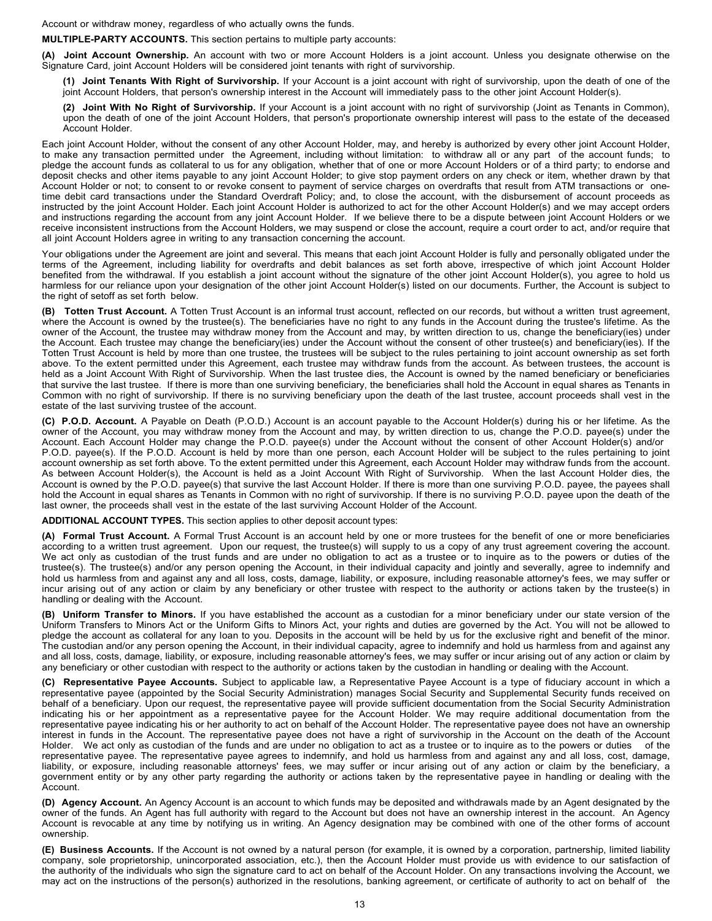Account or withdraw money, regardless of who actually owns the funds.

## **MULTIPLE-PARTY ACCOUNTS.** This section pertains to multiple party accounts:

**(A) Joint Account Ownership.** An account with two or more Account Holders is a joint account. Unless you designate otherwise on the Signature Card, joint Account Holders will be considered joint tenants with right of survivorship.

- **(1) Joint Tenants With Right of Survivorship.** If your Account is a joint account with right of survivorship, upon the death of one of the joint Account Holders, that person's ownership interest in the Account will immediately pass to the other joint Account Holder(s).
- **(2) Joint With No Right of Survivorship.** If your Account is a joint account with no right of survivorship (Joint as Tenants in Common), upon the death of one of the joint Account Holders, that person's proportionate ownership interest will pass to the estate of the deceased Account Holder.

Each joint Account Holder, without the consent of any other Account Holder, may, and hereby is authorized by every other joint Account Holder, to make any transaction permitted under the Agreement, including without limitation: to withdraw all or any part of the account funds; to pledge the account funds as collateral to us for any obligation, whether that of one or more Account Holders or of a third party; to endorse and deposit checks and other items payable to any joint Account Holder; to give stop payment orders on any check or item, whether drawn by that Account Holder or not; to consent to or revoke consent to payment of service charges on overdrafts that result from ATM transactions or onetime debit card transactions under the Standard Overdraft Policy; and, to close the account, with the disbursement of account proceeds as instructed by the joint Account Holder. Each joint Account Holder is authorized to act for the other Account Holder(s) and we may accept orders and instructions regarding the account from any joint Account Holder. If we believe there to be a dispute between joint Account Holders or we receive inconsistent instructions from the Account Holders, we may suspend or close the account, require a court order to act, and/or require that all joint Account Holders agree in writing to any transaction concerning the account.

Your obligations under the Agreement are joint and several. This means that each joint Account Holder is fully and personally obligated under the terms of the Agreement, including liability for overdrafts and debit balances as set forth above, irrespective of which joint Account Holder benefited from the withdrawal. If you establish a joint account without the signature of the other joint Account Holder(s), you agree to hold us harmless for our reliance upon your designation of the other joint Account Holder(s) listed on our documents. Further, the Account is subject to the right of setoff as set forth below.

**(B) Totten Trust Account.** A Totten Trust Account is an informal trust account, reflected on our records, but without a written trust agreement, where the Account is owned by the trustee(s). The beneficiaries have no right to any funds in the Account during the trustee's lifetime. As the owner of the Account, the trustee may withdraw money from the Account and may, by written direction to us, change the beneficiary(ies) under the Account. Each trustee may change the beneficiary(ies) under the Account without the consent of other trustee(s) and beneficiary(ies). If the Totten Trust Account is held by more than one trustee, the trustees will be subject to the rules pertaining to joint account ownership as set forth above. To the extent permitted under this Agreement, each trustee may withdraw funds from the account. As between trustees, the account is held as a Joint Account With Right of Survivorship. When the last trustee dies, the Account is owned by the named beneficiary or beneficiaries that survive the last trustee. If there is more than one surviving beneficiary, the beneficiaries shall hold the Account in equal shares as Tenants in Common with no right of survivorship. If there is no surviving beneficiary upon the death of the last trustee, account proceeds shall vest in the estate of the last surviving trustee of the account.

**(C) P.O.D. Account.** A Payable on Death (P.O.D.) Account is an account payable to the Account Holder(s) during his or her lifetime. As the owner of the Account, you may withdraw money from the Account and may, by written direction to us, change the P.O.D. payee(s) under the Account. Each Account Holder may change the P.O.D. payee(s) under the Account without the consent of other Account Holder(s) and/or P.O.D. payee(s). If the P.O.D. Account is held by more than one person, each Account Holder will be subject to the rules pertaining to joint account ownership as set forth above. To the extent permitted under this Agreement, each Account Holder may withdraw funds from the account. As between Account Holder(s), the Account is held as a Joint Account With Right of Survivorship. When the last Account Holder dies, the Account is owned by the P.O.D. payee(s) that survive the last Account Holder. If there is more than one surviving P.O.D. payee, the payees shall hold the Account in equal shares as Tenants in Common with no right of survivorship. If there is no surviving P.O.D. payee upon the death of the last owner, the proceeds shall vest in the estate of the last surviving Account Holder of the Account.

**ADDITIONAL ACCOUNT TYPES.** This section applies to other deposit account types:

**(A) Formal Trust Account.** A Formal Trust Account is an account held by one or more trustees for the benefit of one or more beneficiaries according to a written trust agreement. Upon our request, the trustee(s) will supply to us a copy of any trust agreement covering the account. We act only as custodian of the trust funds and are under no obligation to act as a trustee or to inquire as to the powers or duties of the trustee(s). The trustee(s) and/or any person opening the Account, in their individual capacity and jointly and severally, agree to indemnify and hold us harmless from and against any and all loss, costs, damage, liability, or exposure, including reasonable attorney's fees, we may suffer or incur arising out of any action or claim by any beneficiary or other trustee with respect to the authority or actions taken by the trustee(s) in handling or dealing with the Account.

**(B) Uniform Transfer to Minors.** If you have established the account as a custodian for a minor beneficiary under our state version of the Uniform Transfers to Minors Act or the Uniform Gifts to Minors Act, your rights and duties are governed by the Act. You will not be allowed to pledge the account as collateral for any loan to you. Deposits in the account will be held by us for the exclusive right and benefit of the minor. The custodian and/or any person opening the Account, in their individual capacity, agree to indemnify and hold us harmless from and against any and all loss, costs, damage, liability, or exposure, including reasonable attorney's fees, we may suffer or incur arising out of any action or claim by any beneficiary or other custodian with respect to the authority or actions taken by the custodian in handling or dealing with the Account.

**(C) Representative Payee Accounts.** Subject to applicable law, a Representative Payee Account is a type of fiduciary account in which a representative payee (appointed by the Social Security Administration) manages Social Security and Supplemental Security funds received on behalf of a beneficiary. Upon our request, the representative payee will provide sufficient documentation from the Social Security Administration indicating his or her appointment as a representative payee for the Account Holder. We may require additional documentation from the representative payee indicating his or her authority to act on behalf of the Account Holder. The representative payee does not have an ownership interest in funds in the Account. The representative payee does not have a right of survivorship in the Account on the death of the Account<br>Holder. We act only as custodian of the funds and are under no obligation to act a Holder. We act only as custodian of the funds and are under no obligation to act as a trustee or to inquire as to the powers or duties representative payee. The representative payee agrees to indemnify, and hold us harmless from and against any and all loss, cost, damage, liability, or exposure, including reasonable attorneys' fees, we may suffer or incur arising out of any action or claim by the beneficiary, a government entity or by any other party regarding the authority or actions taken by the representative payee in handling or dealing with the Account.

**(D) Agency Account.** An Agency Account is an account to which funds may be deposited and withdrawals made by an Agent designated by the owner of the funds. An Agent has full authority with regard to the Account but does not have an ownership interest in the account. An Agency Account is revocable at any time by notifying us in writing. An Agency designation may be combined with one of the other forms of account ownership.

**(E) Business Accounts.** If the Account is not owned by a natural person (for example, it is owned by a corporation, partnership, limited liability company, sole proprietorship, unincorporated association, etc.), then the Account Holder must provide us with evidence to our satisfaction of the authority of the individuals who sign the signature card to act on behalf of the Account Holder. On any transactions involving the Account, we may act on the instructions of the person(s) authorized in the resolutions, banking agreement, or certificate of authority to act on behalf of the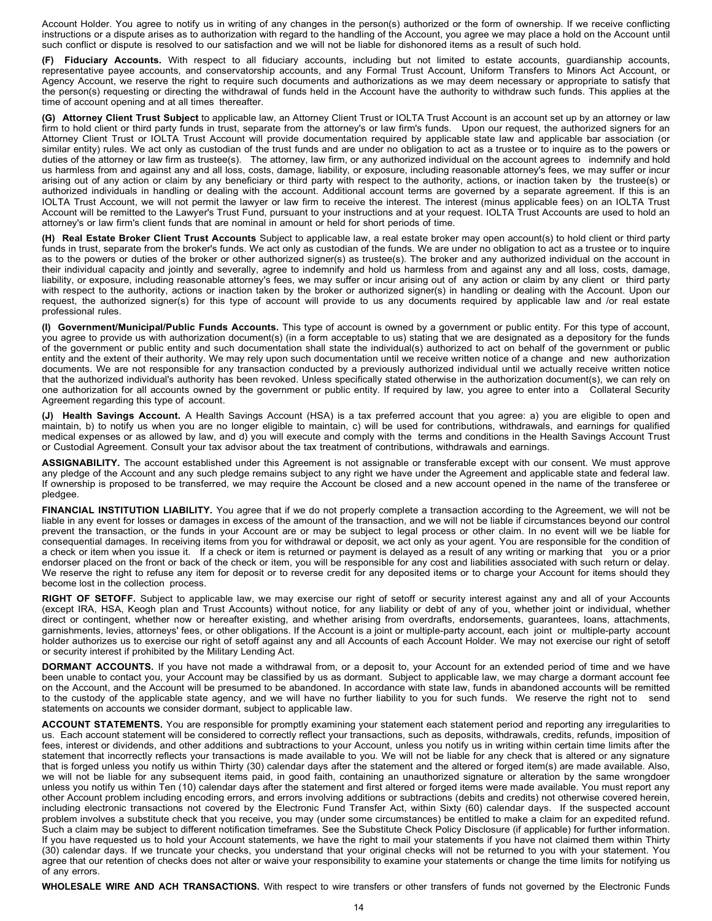Account Holder. You agree to notify us in writing of any changes in the person(s) authorized or the form of ownership. If we receive conflicting instructions or a dispute arises as to authorization with regard to the handling of the Account, you agree we may place a hold on the Account until such conflict or dispute is resolved to our satisfaction and we will not be liable for dishonored items as a result of such hold.

**(F) Fiduciary Accounts.** With respect to all fiduciary accounts, including but not limited to estate accounts, guardianship accounts, representative payee accounts, and conservatorship accounts, and any Formal Trust Account, Uniform Transfers to Minors Act Account, or Agency Account, we reserve the right to require such documents and authorizations as we may deem necessary or appropriate to satisfy that the person(s) requesting or directing the withdrawal of funds held in the Account have the authority to withdraw such funds. This applies at the time of account opening and at all times thereafter.

**(G) Attorney Client Trust Subject** to applicable law, an Attorney Client Trust or IOLTA Trust Account is an account set up by an attorney or law firm to hold client or third party funds in trust, separate from the attorney's or law firm's funds. Upon our request, the authorized signers for an Attorney Client Trust or IOLTA Trust Account will provide documentation required by applicable state law and applicable bar association (or similar entity) rules. We act only as custodian of the trust funds and are under no obligation to act as a trustee or to inquire as to the powers or duties of the attorney or law firm as trustee(s). The attorney, law firm, or any authorized individual on the account agrees to indemnify and hold us harmless from and against any and all loss, costs, damage, liability, or exposure, including reasonable attorney's fees, we may suffer or incur arising out of any action or claim by any beneficiary or third party with respect to the authority, actions, or inaction taken by the trustee(s) or authorized individuals in handling or dealing with the account. Additional account terms are governed by a separate agreement. If this is an IOLTA Trust Account, we will not permit the lawyer or law firm to receive the interest. The interest (minus applicable fees) on an IOLTA Trust Account will be remitted to the Lawyer's Trust Fund, pursuant to your instructions and at your request. IOLTA Trust Accounts are used to hold an attorney's or law firm's client funds that are nominal in amount or held for short periods of time.

**(H) Real Estate Broker Client Trust Accounts** Subject to applicable law, a real estate broker may open account(s) to hold client or third party funds in trust, separate from the broker's funds. We act only as custodian of the funds. We are under no obligation to act as a trustee or to inquire as to the powers or duties of the broker or other authorized signer(s) as trustee(s). The broker and any authorized individual on the account in their individual capacity and jointly and severally, agree to indemnify and hold us harmless from and against any and all loss, costs, damage, liability, or exposure, including reasonable attorney's fees, we may suffer or incur arising out of any action or claim by any client or third party with respect to the authority, actions or inaction taken by the broker or authorized signer(s) in handling or dealing with the Account. Upon our request, the authorized signer(s) for this type of account will provide to us any documents required by applicable law and /or real estate professional rules.

**(I) Government/Municipal/Public Funds Accounts.** This type of account is owned by a government or public entity. For this type of account, you agree to provide us with authorization document(s) (in a form acceptable to us) stating that we are designated as a depository for the funds of the government or public entity and such documentation shall state the individual(s) authorized to act on behalf of the government or public entity and the extent of their authority. We may rely upon such documentation until we receive written notice of a change and new authorization documents. We are not responsible for any transaction conducted by a previously authorized individual until we actually receive written notice that the authorized individual's authority has been revoked. Unless specifically stated otherwise in the authorization document(s), we can rely on one authorization for all accounts owned by the government or public entity. If required by law, you agree to enter into a Collateral Security Agreement regarding this type of account.

**(J) Health Savings Account.** A Health Savings Account (HSA) is a tax preferred account that you agree: a) you are eligible to open and maintain, b) to notify us when you are no longer eligible to maintain, c) will be used for contributions, withdrawals, and earnings for qualified medical expenses or as allowed by law, and d) you will execute and comply with the terms and conditions in the Health Savings Account Trust or Custodial Agreement. Consult your tax advisor about the tax treatment of contributions, withdrawals and earnings.

**ASSIGNABILITY.** The account established under this Agreement is not assignable or transferable except with our consent. We must approve any pledge of the Account and any such pledge remains subject to any right we have under the Agreement and applicable state and federal law. If ownership is proposed to be transferred, we may require the Account be closed and a new account opened in the name of the transferee or pledgee.

**FINANCIAL INSTITUTION LIABILITY.** You agree that if we do not properly complete a transaction according to the Agreement, we will not be liable in any event for losses or damages in excess of the amount of the transaction, and we will not be liable if circumstances beyond our control prevent the transaction, or the funds in your Account are or may be subject to legal process or other claim. In no event will we be liable for consequential damages. In receiving items from you for withdrawal or deposit, we act only as your agent. You are responsible for the condition of a check or item when you issue it. If a check or item is returned or payment is delayed as a result of any writing or marking that you or a prior endorser placed on the front or back of the check or item, you will be responsible for any cost and liabilities associated with such return or delay. We reserve the right to refuse any item for deposit or to reverse credit for any deposited items or to charge your Account for items should they become lost in the collection process.

**RIGHT OF SETOFF.** Subject to applicable law, we may exercise our right of setoff or security interest against any and all of your Accounts (except IRA, HSA, Keogh plan and Trust Accounts) without notice, for any liability or debt of any of you, whether joint or individual, whether direct or contingent, whether now or hereafter existing, and whether arising from overdrafts, endorsements, guarantees, loans, attachments, garnishments, levies, attorneys' fees, or other obligations. If the Account is a joint or multiple-party account, each joint or multiple-party account holder authorizes us to exercise our right of setoff against any and all Accounts of each Account Holder. We may not exercise our right of setoff or security interest if prohibited by the Military Lending Act.

**DORMANT ACCOUNTS.** If you have not made a withdrawal from, or a deposit to, your Account for an extended period of time and we have been unable to contact you, your Account may be classified by us as dormant. Subject to applicable law, we may charge a dormant account fee on the Account, and the Account will be presumed to be abandoned. In accordance with state law, funds in abandoned accounts will be remitted to the custody of the applicable state agency, and we will have no further liability to you for such funds. We reserve the right not to send statements on accounts we consider dormant, subject to applicable law.

**ACCOUNT STATEMENTS.** You are responsible for promptly examining your statement each statement period and reporting any irregularities to us. Each account statement will be considered to correctly reflect your transactions, such as deposits, withdrawals, credits, refunds, imposition of fees, interest or dividends, and other additions and subtractions to your Account, unless you notify us in writing within certain time limits after the statement that incorrectly reflects your transactions is made available to you. We will not be liable for any check that is altered or any signature that is forged unless you notify us within Thirty (30) calendar days after the statement and the altered or forged item(s) are made available. Also, we will not be liable for any subsequent items paid, in good faith, containing an unauthorized signature or alteration by the same wrongdoer unless you notify us within Ten (10) calendar days after the statement and first altered or forged items were made available. You must report any other Account problem including encoding errors, and errors involving additions or subtractions (debits and credits) not otherwise covered herein, including electronic transactions not covered by the Electronic Fund Transfer Act, within Sixty (60) calendar days. If the suspected account problem involves a substitute check that you receive, you may (under some circumstances) be entitled to make a claim for an expedited refund. Such a claim may be subject to different notification timeframes. See the Substitute Check Policy Disclosure (if applicable) for further information. If you have requested us to hold your Account statements, we have the right to mail your statements if you have not claimed them within Thirty (30) calendar days. If we truncate your checks, you understand that your original checks will not be returned to you with your statement. You agree that our retention of checks does not alter or waive your responsibility to examine your statements or change the time limits for notifying us of any errors.

**WHOLESALE WIRE AND ACH TRANSACTIONS.** With respect to wire transfers or other transfers of funds not governed by the Electronic Funds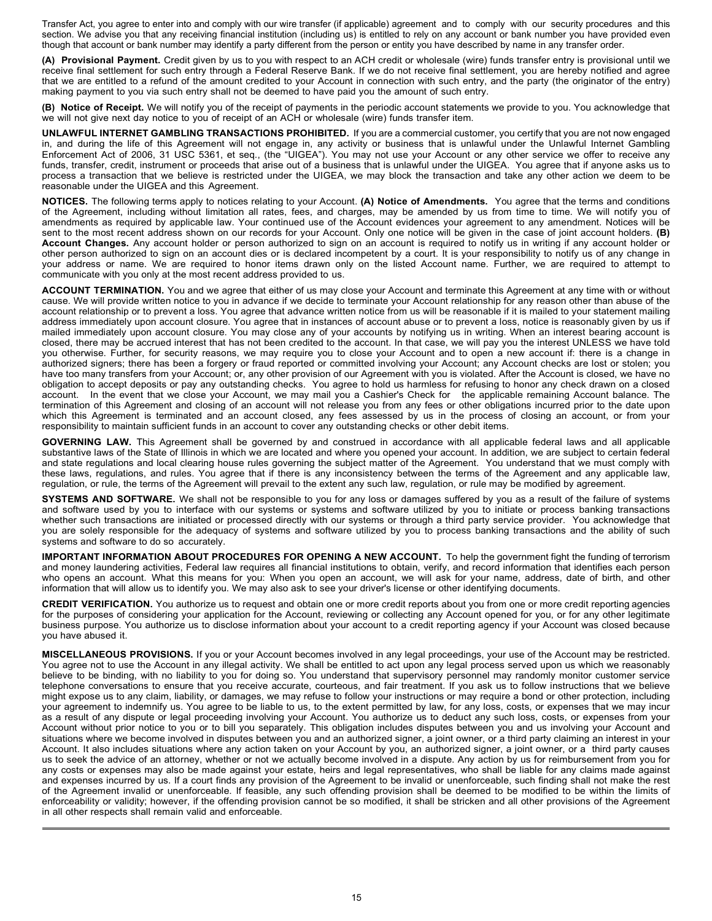Transfer Act, you agree to enter into and comply with our wire transfer (if applicable) agreement and to comply with our security procedures and this section. We advise you that any receiving financial institution (including us) is entitled to rely on any account or bank number you have provided even though that account or bank number may identify a party different from the person or entity you have described by name in any transfer order.

**(A) Provisional Payment.** Credit given by us to you with respect to an ACH credit or wholesale (wire) funds transfer entry is provisional until we receive final settlement for such entry through a Federal Reserve Bank. If we do not receive final settlement, you are hereby notified and agree that we are entitled to a refund of the amount credited to your Account in connection with such entry, and the party (the originator of the entry) making payment to you via such entry shall not be deemed to have paid you the amount of such entry.

**(B) Notice of Receipt.** We will notify you of the receipt of payments in the periodic account statements we provide to you. You acknowledge that we will not give next day notice to you of receipt of an ACH or wholesale (wire) funds transfer item.

**UNLAWFUL INTERNET GAMBLING TRANSACTIONS PROHIBITED.** If you are a commercial customer, you certify that you are not now engaged in, and during the life of this Agreement will not engage in, any activity or business that is unlawful under the Unlawful Internet Gambling Enforcement Act of 2006, 31 USC 5361, et seq., (the "UIGEA"). You may not use your Account or any other service we offer to receive any funds, transfer, credit, instrument or proceeds that arise out of a business that is unlawful under the UIGEA. You agree that if anyone asks us to process a transaction that we believe is restricted under the UIGEA, we may block the transaction and take any other action we deem to be reasonable under the UIGEA and this Agreement.

**NOTICES.** The following terms apply to notices relating to your Account. **(A) Notice of Amendments.** You agree that the terms and conditions of the Agreement, including without limitation all rates, fees, and charges, may be amended by us from time to time. We will notify you of amendments as required by applicable law. Your continued use of the Account evidences your agreement to any amendment. Notices will be sent to the most recent address shown on our records for your Account. Only one notice will be given in the case of joint account holders. **(B) Account Changes.** Any account holder or person authorized to sign on an account is required to notify us in writing if any account holder or other person authorized to sign on an account dies or is declared incompetent by a court. It is your responsibility to notify us of any change in your address or name. We are required to honor items drawn only on the listed Account name. Further, we are required to attempt to communicate with you only at the most recent address provided to us.

**ACCOUNT TERMINATION.** You and we agree that either of us may close your Account and terminate this Agreement at any time with or without cause. We will provide written notice to you in advance if we decide to terminate your Account relationship for any reason other than abuse of the account relationship or to prevent a loss. You agree that advance written notice from us will be reasonable if it is mailed to your statement mailing address immediately upon account closure. You agree that in instances of account abuse or to prevent a loss, notice is reasonably given by us if mailed immediately upon account closure. You may close any of your accounts by notifying us in writing. When an interest bearing account is closed, there may be accrued interest that has not been credited to the account. In that case, we will pay you the interest UNLESS we have told you otherwise. Further, for security reasons, we may require you to close your Account and to open a new account if: there is a change in authorized signers; there has been a forgery or fraud reported or committed involving your Account; any Account checks are lost or stolen; you have too many transfers from your Account; or, any other provision of our Agreement with you is violated. After the Account is closed, we have no obligation to accept deposits or pay any outstanding checks. You agree to hold us harmless for refusing to honor any check drawn on a closed account. In the event that we close your Account, we may mail you a Cashier's Check for the applicable remaining Account balance. The termination of this Agreement and closing of an account will not release you from any fees or other obligations incurred prior to the date upon which this Agreement is terminated and an account closed, any fees assessed by us in the process of closing an account, or from your responsibility to maintain sufficient funds in an account to cover any outstanding checks or other debit items.

**GOVERNING LAW.** This Agreement shall be governed by and construed in accordance with all applicable federal laws and all applicable substantive laws of the State of Illinois in which we are located and where you opened your account. In addition, we are subject to certain federal and state regulations and local clearing house rules governing the subject matter of the Agreement. You understand that we must comply with these laws, regulations, and rules. You agree that if there is any inconsistency between the terms of the Agreement and any applicable law, regulation, or rule, the terms of the Agreement will prevail to the extent any such law, regulation, or rule may be modified by agreement.

**SYSTEMS AND SOFTWARE.** We shall not be responsible to you for any loss or damages suffered by you as a result of the failure of systems and software used by you to interface with our systems or systems and software utilized by you to initiate or process banking transactions whether such transactions are initiated or processed directly with our systems or through a third party service provider. You acknowledge that you are solely responsible for the adequacy of systems and software utilized by you to process banking transactions and the ability of such systems and software to do so accurately.

**IMPORTANT INFORMATION ABOUT PROCEDURES FOR OPENING A NEW ACCOUNT.** To help the government fight the funding of terrorism and money laundering activities, Federal law requires all financial institutions to obtain, verify, and record information that identifies each person who opens an account. What this means for you: When you open an account, we will ask for your name, address, date of birth, and other information that will allow us to identify you. We may also ask to see your driver's license or other identifying documents.

**CREDIT VERIFICATION.** You authorize us to request and obtain one or more credit reports about you from one or more credit reporting agencies for the purposes of considering your application for the Account, reviewing or collecting any Account opened for you, or for any other legitimate business purpose. You authorize us to disclose information about your account to a credit reporting agency if your Account was closed because you have abused it.

**MISCELLANEOUS PROVISIONS.** If you or your Account becomes involved in any legal proceedings, your use of the Account may be restricted. You agree not to use the Account in any illegal activity. We shall be entitled to act upon any legal process served upon us which we reasonably believe to be binding, with no liability to you for doing so. You understand that supervisory personnel may randomly monitor customer service telephone conversations to ensure that you receive accurate, courteous, and fair treatment. If you ask us to follow instructions that we believe might expose us to any claim, liability, or damages, we may refuse to follow your instructions or may require a bond or other protection, including your agreement to indemnify us. You agree to be liable to us, to the extent permitted by law, for any loss, costs, or expenses that we may incur as a result of any dispute or legal proceeding involving your Account. You authorize us to deduct any such loss, costs, or expenses from your Account without prior notice to you or to bill you separately. This obligation includes disputes between you and us involving your Account and situations where we become involved in disputes between you and an authorized signer, a joint owner, or a third party claiming an interest in your Account. It also includes situations where any action taken on your Account by you, an authorized signer, a joint owner, or a third party causes us to seek the advice of an attorney, whether or not we actually become involved in a dispute. Any action by us for reimbursement from you for any costs or expenses may also be made against your estate, heirs and legal representatives, who shall be liable for any claims made against and expenses incurred by us. If a court finds any provision of the Agreement to be invalid or unenforceable, such finding shall not make the rest of the Agreement invalid or unenforceable. If feasible, any such offending provision shall be deemed to be modified to be within the limits of enforceability or validity; however, if the offending provision cannot be so modified, it shall be stricken and all other provisions of the Agreement in all other respects shall remain valid and enforceable.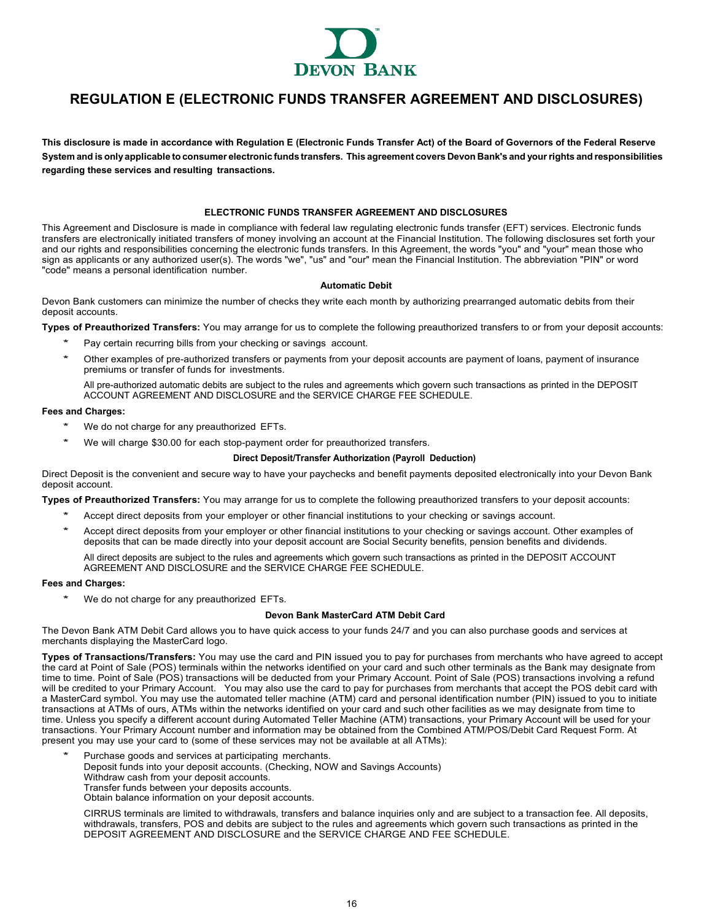

# <span id="page-15-0"></span>**REGULATION E (ELECTRONIC FUNDS TRANSFER AGREEMENT AND DISCLOSURES)**

**This disclosure is made in accordance with Regulation E (Electronic Funds Transfer Act) of the Board of Governors of the Federal Reserve**  System and is only applicable to consumer electronic funds transfers. This agreement covers Devon Bank's and your rights and responsibilities **regarding these services and resulting transactions.**

## **ELECTRONIC FUNDS TRANSFER AGREEMENT AND DISCLOSURES**

This Agreement and Disclosure is made in compliance with federal law regulating electronic funds transfer (EFT) services. Electronic funds transfers are electronically initiated transfers of money involving an account at the Financial Institution. The following disclosures set forth your and our rights and responsibilities concerning the electronic funds transfers. In this Agreement, the words "you" and "your" mean those who sign as applicants or any authorized user(s). The words "we", "us" and "our" mean the Financial Institution. The abbreviation "PIN" or word "code" means a personal identification number.

#### **Automatic Debit**

Devon Bank customers can minimize the number of checks they write each month by authorizing prearranged automatic debits from their deposit accounts.

**Types of Preauthorized Transfers:** You may arrange for us to complete the following preauthorized transfers to or from your deposit accounts:

- Pay certain recurring bills from your checking or savings account.
- Other examples of pre-authorized transfers or payments from your deposit accounts are payment of loans, payment of insurance premiums or transfer of funds for investments.
	- All pre-authorized automatic debits are subject to the rules and agreements which govern such transactions as printed in the DEPOSIT ACCOUNT AGREEMENT AND DISCLOSURE and the SERVICE CHARGE FEE SCHEDULE.

## **Fees and Charges:**

- We do not charge for any preauthorized EFTs.
- We will charge \$30.00 for each stop-payment order for preauthorized transfers.

#### **Direct Deposit/Transfer Authorization (Payroll Deduction)**

Direct Deposit is the convenient and secure way to have your paychecks and benefit payments deposited electronically into your Devon Bank deposit account.

**Types of Preauthorized Transfers:** You may arrange for us to complete the following preauthorized transfers to your deposit accounts:

- Accept direct deposits from your employer or other financial institutions to your checking or savings account.
- Accept direct deposits from your employer or other financial institutions to your checking or savings account. Other examples of deposits that can be made directly into your deposit account are Social Security benefits, pension benefits and dividends.

All direct deposits are subject to the rules and agreements which govern such transactions as printed in the DEPOSIT ACCOUNT AGREEMENT AND DISCLOSURE and the SERVICE CHARGE FEE SCHEDULE.

## **Fees and Charges:**

We do not charge for any preauthorized EFTs.

## **Devon Bank MasterCard ATM Debit Card**

The Devon Bank ATM Debit Card allows you to have quick access to your funds 24/7 and you can also purchase goods and services at merchants displaying the MasterCard logo.

**Types of Transactions/Transfers:** You may use the card and PIN issued you to pay for purchases from merchants who have agreed to accept the card at Point of Sale (POS) terminals within the networks identified on your card and such other terminals as the Bank may designate from time to time. Point of Sale (POS) transactions will be deducted from your Primary Account. Point of Sale (POS) transactions involving a refund will be credited to your Primary Account. You may also use the card to pay for purchases from merchants that accept the POS debit card with a MasterCard symbol. You may use the automated teller machine (ATM) card and personal identification number (PIN) issued to you to initiate transactions at ATMs of ours, ATMs within the networks identified on your card and such other facilities as we may designate from time to time. Unless you specify a different account during Automated Teller Machine (ATM) transactions, your Primary Account will be used for your transactions. Your Primary Account number and information may be obtained from the Combined ATM/POS/Debit Card Request Form. At present you may use your card to (some of these services may not be available at all ATMs):

- Purchase goods and services at participating merchants. Deposit funds into your deposit accounts. (Checking, NOW and Savings Accounts)
	- Withdraw cash from your deposit accounts.
	- Transfer funds between your deposits accounts.
	- Obtain balance information on your deposit accounts.

CIRRUS terminals are limited to withdrawals, transfers and balance inquiries only and are subject to a transaction fee. All deposits, withdrawals, transfers, POS and debits are subject to the rules and agreements which govern such transactions as printed in the DEPOSIT AGREEMENT AND DISCLOSURE and the SERVICE CHARGE AND FEE SCHEDULE.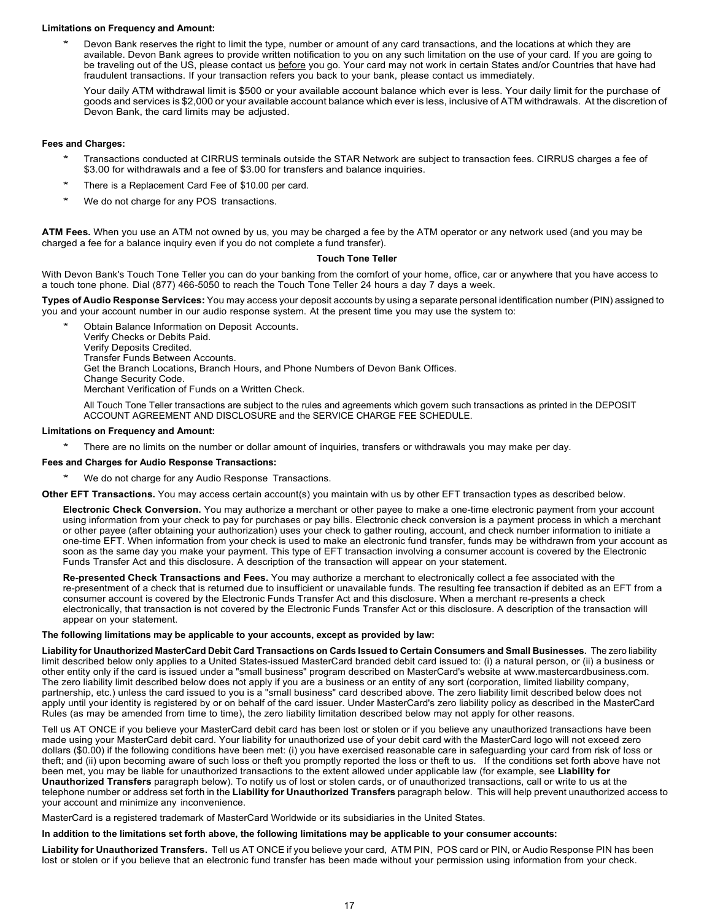## **Limitations on Frequency and Amount:**

Devon Bank reserves the right to limit the type, number or amount of any card transactions, and the locations at which they are available. Devon Bank agrees to provide written notification to you on any such limitation on the use of your card. If you are going to be traveling out of the US, please contact us before you go. Your card may not work in certain States and/or Countries that have had fraudulent transactions. If your transaction refers you back to your bank, please contact us immediately.

Your daily ATM withdrawal limit is \$500 or your available account balance which ever is less. Your daily limit for the purchase of goods and services is \$2,000 or your available account balance which ever is less, inclusive of ATM withdrawals. At the discretion of Devon Bank, the card limits may be adjusted.

## **Fees and Charges:**

- \* Transactions conducted at CIRRUS terminals outside the STAR Network are subject to transaction fees. CIRRUS charges a fee of \$3.00 for withdrawals and a fee of \$3.00 for transfers and balance inquiries.
- There is a Replacement Card Fee of \$10.00 per card.
- We do not charge for any POS transactions.

**ATM Fees.** When you use an ATM not owned by us, you may be charged a fee by the ATM operator or any network used (and you may be charged a fee for a balance inquiry even if you do not complete a fund transfer).

## **Touch Tone Teller**

With Devon Bank's Touch Tone Teller you can do your banking from the comfort of your home, office, car or anywhere that you have access to a touch tone phone. Dial (877) 466-5050 to reach the Touch Tone Teller 24 hours a day 7 days a week.

**Types of Audio Response Services:** You may access your deposit accounts by using a separate personal identification number (PIN) assigned to you and your account number in our audio response system. At the present time you may use the system to:

Obtain Balance Information on Deposit Accounts. Verify Checks or Debits Paid. Verify Deposits Credited. Transfer Funds Between Accounts. Get the Branch Locations, Branch Hours, and Phone Numbers of Devon Bank Offices. Change Security Code. Merchant Verification of Funds on a Written Check.

All Touch Tone Teller transactions are subject to the rules and agreements which govern such transactions as printed in the DEPOSIT ACCOUNT AGREEMENT AND DISCLOSURE and the SERVICE CHARGE FEE SCHEDULE.

## **Limitations on Frequency and Amount:**

There are no limits on the number or dollar amount of inquiries, transfers or withdrawals you may make per day.

## **Fees and Charges for Audio Response Transactions:**

- We do not charge for any Audio Response Transactions.
- **Other EFT Transactions.** You may access certain account(s) you maintain with us by other EFT transaction types as described below.

**Electronic Check Conversion.** You may authorize a merchant or other payee to make a one-time electronic payment from your account using information from your check to pay for purchases or pay bills. Electronic check conversion is a payment process in which a merchant or other payee (after obtaining your authorization) uses your check to gather routing, account, and check number information to initiate a one-time EFT. When information from your check is used to make an electronic fund transfer, funds may be withdrawn from your account as soon as the same day you make your payment. This type of EFT transaction involving a consumer account is covered by the Electronic Funds Transfer Act and this disclosure. A description of the transaction will appear on your statement.

**Re-presented Check Transactions and Fees.** You may authorize a merchant to electronically collect a fee associated with the re-presentment of a check that is returned due to insufficient or unavailable funds. The resulting fee transaction if debited as an EFT from a consumer account is covered by the Electronic Funds Transfer Act and this disclosure. When a merchant re-presents a check electronically, that transaction is not covered by the Electronic Funds Transfer Act or this disclosure. A description of the transaction will appear on your statement.

## **The following limitations may be applicable to your accounts, except as provided by law:**

Liability for Unauthorized MasterCard Debit Card Transactions on Cards Issued to Certain Consumers and Small Businesses. The zero liability limit described below only applies to a United States-issued MasterCard branded debit card issued to: (i) a natural person, or (ii) a business or other entity only if the card is issued under a "small business" program described on MasterCard's website at [www.mastercardbusiness.com.](http://www.mastercardbusiness.com/) The zero liability limit described below does not apply if you are a business or an entity of any sort (corporation, limited liability company, partnership, etc.) unless the card issued to you is a "small business" card described above. The zero liability limit described below does not apply until your identity is registered by or on behalf of the card issuer. Under MasterCard's zero liability policy as described in the MasterCard Rules (as may be amended from time to time), the zero liability limitation described below may not apply for other reasons.

Tell us AT ONCE if you believe your MasterCard debit card has been lost or stolen or if you believe any unauthorized transactions have been made using your MasterCard debit card. Your liability for unauthorized use of your debit card with the MasterCard logo will not exceed zero dollars (\$0.00) if the following conditions have been met: (i) you have exercised reasonable care in safeguarding your card from risk of loss or theft; and (ii) upon becoming aware of such loss or theft you promptly reported the loss or theft to us. If the conditions set forth above have not been met, you may be liable for unauthorized transactions to the extent allowed under applicable law (for example, see **Liability for Unauthorized Transfers** paragraph below). To notify us of lost or stolen cards, or of unauthorized transactions, call or write to us at the telephone number or address set forth in the **Liability for Unauthorized Transfers** paragraph below. This will help prevent unauthorized access to your account and minimize any inconvenience.

MasterCard is a registered trademark of MasterCard Worldwide or its subsidiaries in the United States.

## **In addition to the limitations set forth above, the following limitations may be applicable to your consumer accounts:**

**Liability for Unauthorized Transfers.** Tell us AT ONCE if you believe your card, ATM PIN, POS card or PIN, or Audio Response PIN has been lost or stolen or if you believe that an electronic fund transfer has been made without your permission using information from your check.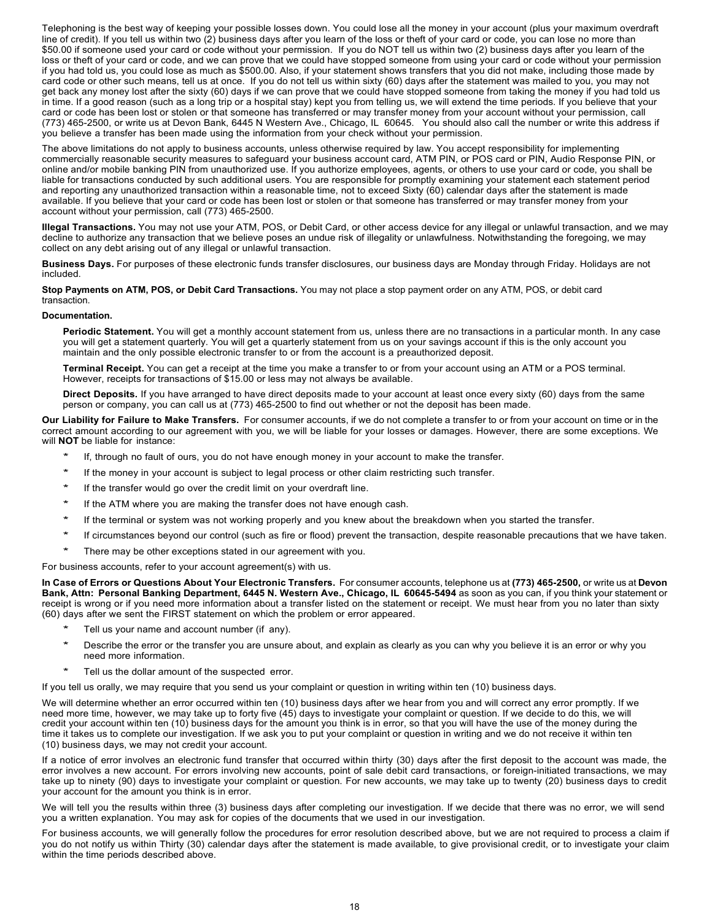Telephoning is the best way of keeping your possible losses down. You could lose all the money in your account (plus your maximum overdraft line of credit). If you tell us within two (2) business days after you learn of the loss or theft of your card or code, you can lose no more than \$50.00 if someone used your card or code without your permission. If you do NOT tell us within two (2) business days after you learn of the loss or theft of your card or code, and we can prove that we could have stopped someone from using your card or code without your permission if you had told us, you could lose as much as \$500.00. Also, if your statement shows transfers that you did not make, including those made by card code or other such means, tell us at once. If you do not tell us within sixty (60) days after the statement was mailed to you, you may not get back any money lost after the sixty (60) days if we can prove that we could have stopped someone from taking the money if you had told us in time. If a good reason (such as a long trip or a hospital stay) kept you from telling us, we will extend the time periods. If you believe that your card or code has been lost or stolen or that someone has transferred or may transfer money from your account without your permission, call (773) 465-2500, or write us at Devon Bank, 6445 N Western Ave., Chicago, IL 60645. You should also call the number or write this address if you believe a transfer has been made using the information from your check without your permission.

The above limitations do not apply to business accounts, unless otherwise required by law. You accept responsibility for implementing commercially reasonable security measures to safeguard your business account card, ATM PIN, or POS card or PIN, Audio Response PIN, or online and/or mobile banking PIN from unauthorized use. If you authorize employees, agents, or others to use your card or code, you shall be liable for transactions conducted by such additional users. You are responsible for promptly examining your statement each statement period and reporting any unauthorized transaction within a reasonable time, not to exceed Sixty (60) calendar days after the statement is made available. If you believe that your card or code has been lost or stolen or that someone has transferred or may transfer money from your account without your permission, call (773) 465-2500.

**Illegal Transactions.** You may not use your ATM, POS, or Debit Card, or other access device for any illegal or unlawful transaction, and we may decline to authorize any transaction that we believe poses an undue risk of illegality or unlawfulness. Notwithstanding the foregoing, we may collect on any debt arising out of any illegal or unlawful transaction.

**Business Days.** For purposes of these electronic funds transfer disclosures, our business days are Monday through Friday. Holidays are not included.

**Stop Payments on ATM, POS, or Debit Card Transactions.** You may not place a stop payment order on any ATM, POS, or debit card transaction.

## **Documentation.**

**Periodic Statement.** You will get a monthly account statement from us, unless there are no transactions in a particular month. In any case you will get a statement quarterly. You will get a quarterly statement from us on your savings account if this is the only account you maintain and the only possible electronic transfer to or from the account is a preauthorized deposit.

**Terminal Receipt.** You can get a receipt at the time you make a transfer to or from your account using an ATM or a POS terminal. However, receipts for transactions of \$15.00 or less may not always be available.

**Direct Deposits.** If you have arranged to have direct deposits made to your account at least once every sixty (60) days from the same person or company, you can call us at (773) 465-2500 to find out whether or not the deposit has been made.

**Our Liability for Failure to Make Transfers.** For consumer accounts, if we do not complete a transfer to or from your account on time or in the correct amount according to our agreement with you, we will be liable for your losses or damages. However, there are some exceptions. We will **NOT** be liable for instance:

- If, through no fault of ours, you do not have enough money in your account to make the transfer.
- If the money in your account is subject to legal process or other claim restricting such transfer.
- If the transfer would go over the credit limit on your overdraft line.
- If the ATM where you are making the transfer does not have enough cash.
- If the terminal or system was not working properly and you knew about the breakdown when you started the transfer.
- If circumstances beyond our control (such as fire or flood) prevent the transaction, despite reasonable precautions that we have taken.
- There may be other exceptions stated in our agreement with you.

For business accounts, refer to your account agreement(s) with us.

In Case of Errors or Questions About Your Electronic Transfers. For consumer accounts, telephone us at (773) 465-2500, or write us at Devon **Bank, Attn: Personal Banking Department, 6445 N. Western Ave., Chicago, IL 60645-5494** as soon as you can, if you think your statement or receipt is wrong or if you need more information about a transfer listed on the statement or receipt. We must hear from you no later than sixty (60) days after we sent the FIRST statement on which the problem or error appeared.

- Tell us your name and account number (if any).
- Describe the error or the transfer you are unsure about, and explain as clearly as you can why you believe it is an error or why you need more information.
- Tell us the dollar amount of the suspected error.

If you tell us orally, we may require that you send us your complaint or question in writing within ten (10) business days.

We will determine whether an error occurred within ten (10) business days after we hear from you and will correct any error promptly. If we need more time, however, we may take up to forty five (45) days to investigate your complaint or question. If we decide to do this, we will credit your account within ten (10) business days for the amount you think is in error, so that you will have the use of the money during the time it takes us to complete our investigation. If we ask you to put your complaint or question in writing and we do not receive it within ten (10) business days, we may not credit your account.

If a notice of error involves an electronic fund transfer that occurred within thirty (30) days after the first deposit to the account was made, the error involves a new account. For errors involving new accounts, point of sale debit card transactions, or foreign-initiated transactions, we may take up to ninety (90) days to investigate your complaint or question. For new accounts, we may take up to twenty (20) business days to credit your account for the amount you think is in error.

We will tell you the results within three (3) business days after completing our investigation. If we decide that there was no error, we will send you a written explanation. You may ask for copies of the documents that we used in our investigation.

For business accounts, we will generally follow the procedures for error resolution described above, but we are not required to process a claim if you do not notify us within Thirty (30) calendar days after the statement is made available, to give provisional credit, or to investigate your claim within the time periods described above.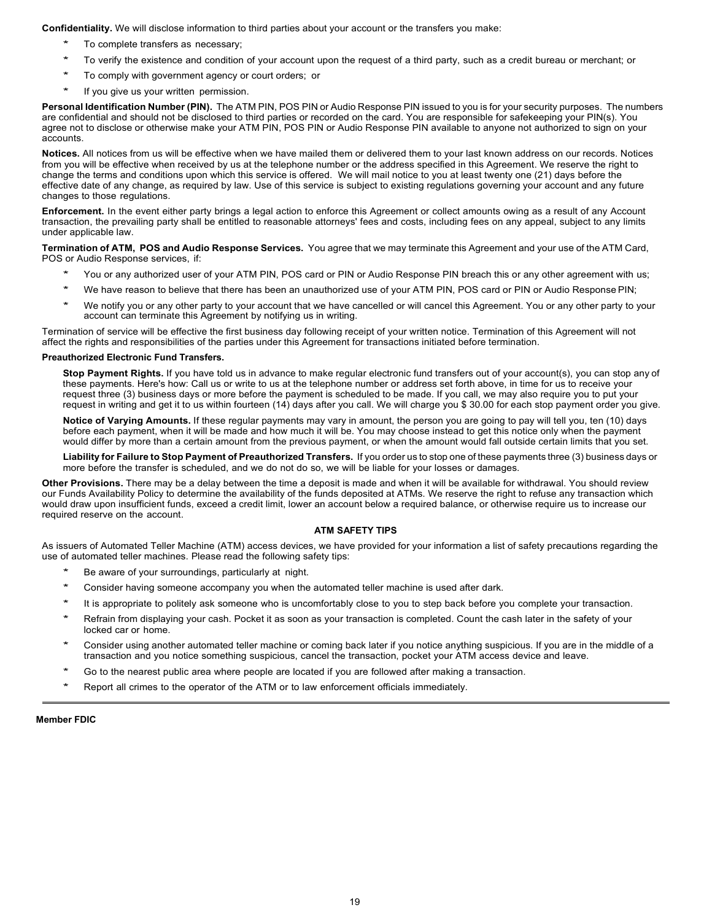**Confidentiality.** We will disclose information to third parties about your account or the transfers you make:

- To complete transfers as necessary;
- To verify the existence and condition of your account upon the request of a third party, such as a credit bureau or merchant; or
- To comply with government agency or court orders; or
- If you give us your written permission.

**Personal Identification Number (PIN).** The ATM PIN, POS PIN or Audio Response PIN issued to you is for your security purposes. The numbers are confidential and should not be disclosed to third parties or recorded on the card. You are responsible for safekeeping your PIN(s). You agree not to disclose or otherwise make your ATM PIN, POS PIN or Audio Response PIN available to anyone not authorized to sign on your accounts.

**Notices.** All notices from us will be effective when we have mailed them or delivered them to your last known address on our records. Notices from you will be effective when received by us at the telephone number or the address specified in this Agreement. We reserve the right to change the terms and conditions upon which this service is offered. We will mail notice to you at least twenty one (21) days before the effective date of any change, as required by law. Use of this service is subject to existing regulations governing your account and any future changes to those regulations.

**Enforcement.** In the event either party brings a legal action to enforce this Agreement or collect amounts owing as a result of any Account transaction, the prevailing party shall be entitled to reasonable attorneys' fees and costs, including fees on any appeal, subject to any limits under applicable law.

**Termination of ATM, POS and Audio Response Services.** You agree that we may terminate this Agreement and your use of the ATM Card, POS or Audio Response services, if:

- You or any authorized user of your ATM PIN, POS card or PIN or Audio Response PIN breach this or any other agreement with us;
- We have reason to believe that there has been an unauthorized use of your ATM PIN, POS card or PIN or Audio Response PIN;
- We notify you or any other party to your account that we have cancelled or will cancel this Agreement. You or any other party to your account can terminate this Agreement by notifying us in writing.

Termination of service will be effective the first business day following receipt of your written notice. Termination of this Agreement will not affect the rights and responsibilities of the parties under this Agreement for transactions initiated before termination.

## **Preauthorized Electronic Fund Transfers.**

**Stop Payment Rights.** If you have told us in advance to make regular electronic fund transfers out of your account(s), you can stop any of these payments. Here's how: Call us or write to us at the telephone number or address set forth above, in time for us to receive your request three (3) business days or more before the payment is scheduled to be made. If you call, we may also require you to put your request in writing and get it to us within fourteen (14) days after you call. We will charge you \$ 30.00 for each stop payment order you give.

**Notice of Varying Amounts.** If these regular payments may vary in amount, the person you are going to pay will tell you, ten (10) days before each payment, when it will be made and how much it will be. You may choose instead to get this notice only when the payment would differ by more than a certain amount from the previous payment, or when the amount would fall outside certain limits that you set.

**Liability for Failure to Stop Payment of Preauthorized Transfers.** If you order us to stop one of these payments three (3) business days or more before the transfer is scheduled, and we do not do so, we will be liable for your losses or damages.

**Other Provisions.** There may be a delay between the time a deposit is made and when it will be available for withdrawal. You should review our Funds Availability Policy to determine the availability of the funds deposited at ATMs. We reserve the right to refuse any transaction which would draw upon insufficient funds, exceed a credit limit, lower an account below a required balance, or otherwise require us to increase our required reserve on the account.

## **ATM SAFETY TIPS**

As issuers of Automated Teller Machine (ATM) access devices, we have provided for your information a list of safety precautions regarding the use of automated teller machines. Please read the following safety tips:

- Be aware of your surroundings, particularly at night.
- Consider having someone accompany you when the automated teller machine is used after dark.
- It is appropriate to politely ask someone who is uncomfortably close to you to step back before you complete your transaction.
- Refrain from displaying your cash. Pocket it as soon as your transaction is completed. Count the cash later in the safety of your locked car or home.
- \* Consider using another automated teller machine or coming back later if you notice anything suspicious. If you are in the middle of a transaction and you notice something suspicious, cancel the transaction, pocket your ATM access device and leave.
- Go to the nearest public area where people are located if you are followed after making a transaction.
- Report all crimes to the operator of the ATM or to law enforcement officials immediately.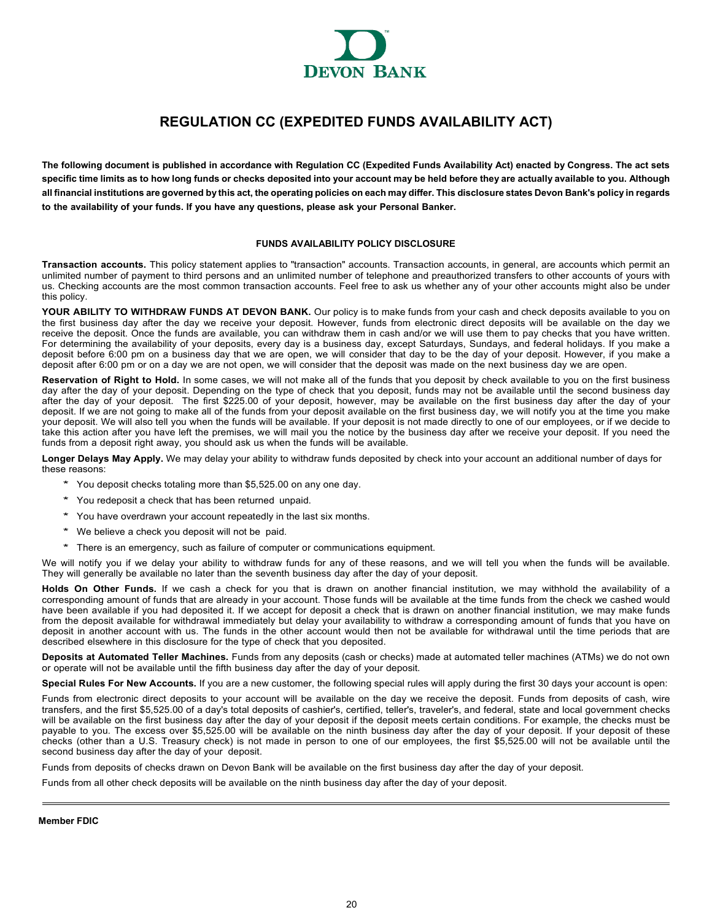

# **REGULATION CC (EXPEDITED FUNDS AVAILABILITY ACT)**

<span id="page-19-0"></span>**The following document is published in accordance with Regulation CC (Expedited Funds Availability Act) enacted by Congress. The act sets**  specific time limits as to how long funds or checks deposited into your account may be held before they are actually available to you. Although all financial institutions are governed by this act, the operating policies on each may differ. This disclosure states Devon Bank's policy in regards **to the availability of your funds. If you have any questions, please ask your Personal Banker.**

## **FUNDS AVAILABILITY POLICY DISCLOSURE**

**Transaction accounts.** This policy statement applies to "transaction" accounts. Transaction accounts, in general, are accounts which permit an unlimited number of payment to third persons and an unlimited number of telephone and preauthorized transfers to other accounts of yours with us. Checking accounts are the most common transaction accounts. Feel free to ask us whether any of your other accounts might also be under this policy.

**YOUR ABILITY TO WITHDRAW FUNDS AT DEVON BANK.** Our policy is to make funds from your cash and check deposits available to you on the first business day after the day we receive your deposit. However, funds from electronic direct deposits will be available on the day we receive the deposit. Once the funds are available, you can withdraw them in cash and/or we will use them to pay checks that you have written. For determining the availability of your deposits, every day is a business day, except Saturdays, Sundays, and federal holidays. If you make a deposit before 6:00 pm on a business day that we are open, we will consider that day to be the day of your deposit. However, if you make a deposit after 6:00 pm or on a day we are not open, we will consider that the deposit was made on the next business day we are open.

**Reservation of Right to Hold.** In some cases, we will not make all of the funds that you deposit by check available to you on the first business day after the day of your deposit. Depending on the type of check that you deposit, funds may not be available until the second business day after the day of your deposit. The first \$225.00 of your deposit, however, may be available on the first business day after the day of your deposit. If we are not going to make all of the funds from your deposit available on the first business day, we will notify you at the time you make your deposit. We will also tell you when the funds will be available. If your deposit is not made directly to one of our employees, or if we decide to take this action after you have left the premises, we will mail you the notice by the business day after we receive your deposit. If you need the funds from a deposit right away, you should ask us when the funds will be available.

**Longer Delays May Apply.** We may delay your ability to withdraw funds deposited by check into your account an additional number of days for these reasons:

- \* You deposit checks totaling more than \$5,525.00 on any one day.
- \* You redeposit a check that has been returned unpaid.
- \* You have overdrawn your account repeatedly in the last six months.
- \* We believe a check you deposit will not be paid.
- \* There is an emergency, such as failure of computer or communications equipment.

We will notify you if we delay your ability to withdraw funds for any of these reasons, and we will tell you when the funds will be available. They will generally be available no later than the seventh business day after the day of your deposit.

**Holds On Other Funds.** If we cash a check for you that is drawn on another financial institution, we may withhold the availability of a corresponding amount of funds that are already in your account. Those funds will be available at the time funds from the check we cashed would have been available if you had deposited it. If we accept for deposit a check that is drawn on another financial institution, we may make funds from the deposit available for withdrawal immediately but delay your availability to withdraw a corresponding amount of funds that you have on deposit in another account with us. The funds in the other account would then not be available for withdrawal until the time periods that are described elsewhere in this disclosure for the type of check that you deposited.

**Deposits at Automated Teller Machines.** Funds from any deposits (cash or checks) made at automated teller machines (ATMs) we do not own or operate will not be available until the fifth business day after the day of your deposit.

**Special Rules For New Accounts.** If you are a new customer, the following special rules will apply during the first 30 days your account is open:

Funds from electronic direct deposits to your account will be available on the day we receive the deposit. Funds from deposits of cash, wire transfers, and the first \$5,525.00 of a day's total deposits of cashier's, certified, teller's, traveler's, and federal, state and local government checks will be available on the first business day after the day of your deposit if the deposit meets certain conditions. For example, the checks must be payable to you. The excess over \$5,525.00 will be available on the ninth business day after the day of your deposit. If your deposit of these checks (other than a U.S. Treasury check) is not made in person to one of our employees, the first \$5,525.00 will not be available until the second business day after the day of your deposit.

Funds from deposits of checks drawn on Devon Bank will be available on the first business day after the day of your deposit.

Funds from all other check deposits will be available on the ninth business day after the day of your deposit.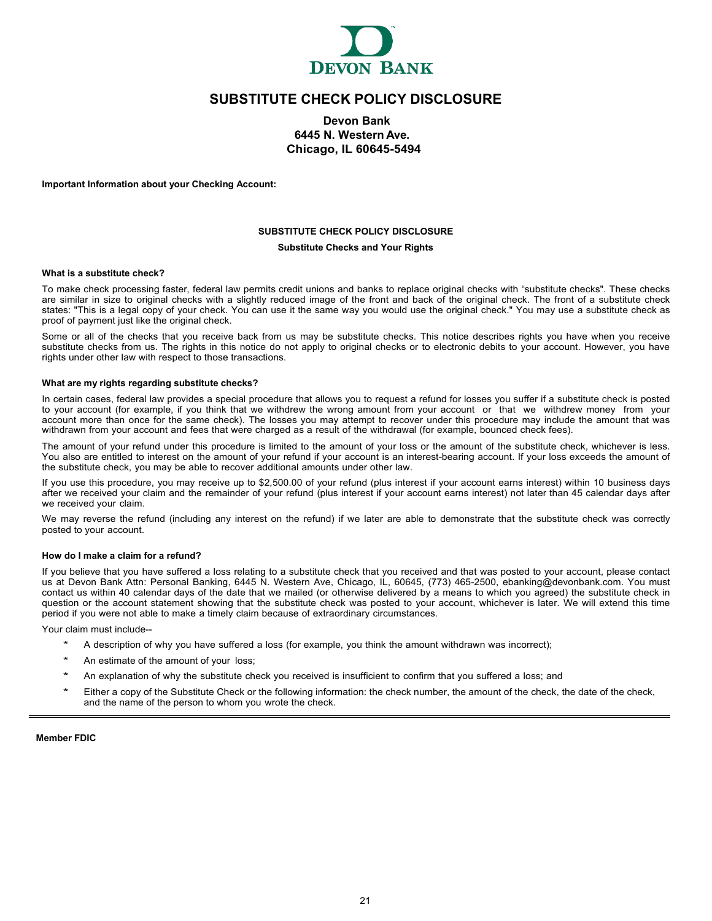

# **SUBSTITUTE CHECK POLICY DISCLOSURE**

## **Devon Bank 6445 N. Western Ave. Chicago, IL 60645-5494**

<span id="page-20-0"></span>**Important Information about your Checking Account:**

## **SUBSTITUTE CHECK POLICY DISCLOSURE Substitute Checks and Your Rights**

## **What is a substitute check?**

To make check processing faster, federal law permits credit unions and banks to replace original checks with "substitute checks". These checks are similar in size to original checks with a slightly reduced image of the front and back of the original check. The front of a substitute check states: "This is a legal copy of your check. You can use it the same way you would use the original check." You may use a substitute check as proof of payment just like the original check.

Some or all of the checks that you receive back from us may be substitute checks. This notice describes rights you have when you receive substitute checks from us. The rights in this notice do not apply to original checks or to electronic debits to your account. However, you have rights under other law with respect to those transactions.

#### **What are my rights regarding substitute checks?**

In certain cases, federal law provides a special procedure that allows you to request a refund for losses you suffer if a substitute check is posted to your account (for example, if you think that we withdrew the wrong amount from your account or that we withdrew money from your account more than once for the same check). The losses you may attempt to recover under this procedure may include the amount that was withdrawn from your account and fees that were charged as a result of the withdrawal (for example, bounced check fees).

The amount of your refund under this procedure is limited to the amount of your loss or the amount of the substitute check, whichever is less. You also are entitled to interest on the amount of your refund if your account is an interest-bearing account. If your loss exceeds the amount of the substitute check, you may be able to recover additional amounts under other law.

If you use this procedure, you may receive up to \$2,500.00 of your refund (plus interest if your account earns interest) within 10 business days after we received your claim and the remainder of your refund (plus interest if your account earns interest) not later than 45 calendar days after we received your claim.

We may reverse the refund (including any interest on the refund) if we later are able to demonstrate that the substitute check was correctly posted to your account.

## **How do I make a claim for a refund?**

If you believe that you have suffered a loss relating to a substitute check that you received and that was posted to your account, please contact us at Devon Bank Attn: Personal Banking, 6445 N. Western Ave, Chicago, IL, 60645, (773) 465-2500, [ebanking@devonbank.com.](mailto:ebanking@devonbank.com) You must contact us within 40 calendar days of the date that we mailed (or otherwise delivered by a means to which you agreed) the substitute check in question or the account statement showing that the substitute check was posted to your account, whichever is later. We will extend this time period if you were not able to make a timely claim because of extraordinary circumstances.

Your claim must include--

- A description of why you have suffered a loss (for example, you think the amount withdrawn was incorrect);
- An estimate of the amount of your loss;
- An explanation of why the substitute check you received is insufficient to confirm that you suffered a loss; and
- \* Either a copy of the Substitute Check or the following information: the check number, the amount of the check, the date of the check, and the name of the person to whom you wrote the check.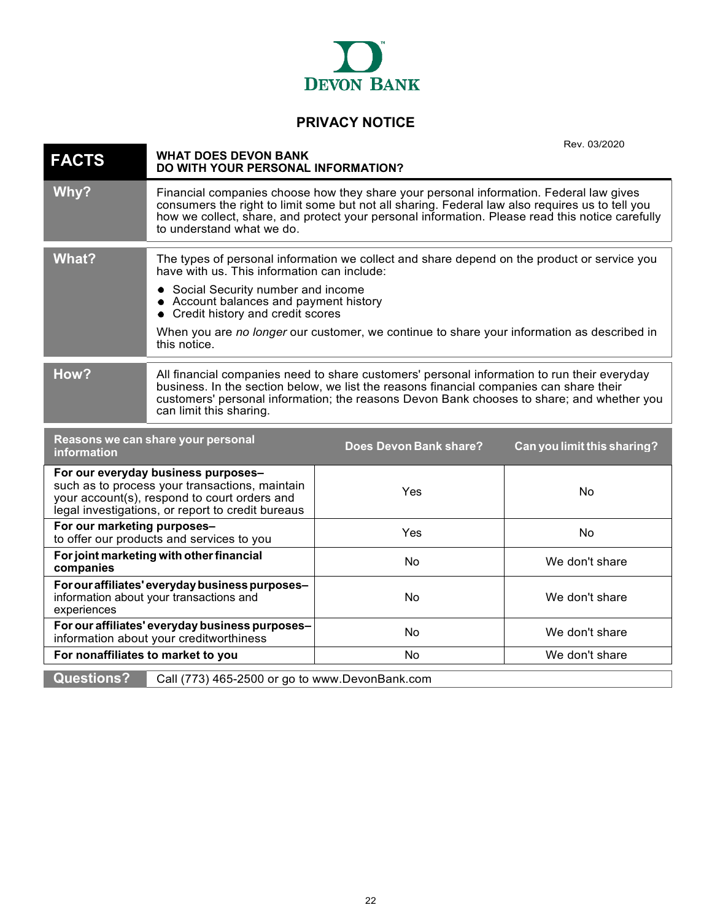

# **PRIVACY NOTICE**

<span id="page-21-0"></span>

|                                                                                                                                                                                            |                                                                                                                                                                                                                                                                                                                |                                                                                                                                                                                                                                                                                              | Rev. 03/2020                |
|--------------------------------------------------------------------------------------------------------------------------------------------------------------------------------------------|----------------------------------------------------------------------------------------------------------------------------------------------------------------------------------------------------------------------------------------------------------------------------------------------------------------|----------------------------------------------------------------------------------------------------------------------------------------------------------------------------------------------------------------------------------------------------------------------------------------------|-----------------------------|
| <b>FACTS</b>                                                                                                                                                                               | <b>WHAT DOES DEVON BANK</b><br>DO WITH YOUR PERSONAL INFORMATION?                                                                                                                                                                                                                                              |                                                                                                                                                                                                                                                                                              |                             |
| Why?                                                                                                                                                                                       | to understand what we do.                                                                                                                                                                                                                                                                                      | Financial companies choose how they share your personal information. Federal law gives<br>consumers the right to limit some but not all sharing. Federal law also requires us to tell you<br>how we collect, share, and protect your personal information. Please read this notice carefully |                             |
| <b>What?</b>                                                                                                                                                                               | have with us. This information can include:<br>Social Security number and income<br>$\bullet$<br>Account balances and payment history<br>Credit history and credit scores<br>this notice.                                                                                                                      | The types of personal information we collect and share depend on the product or service you<br>When you are no longer our customer, we continue to share your information as described in                                                                                                    |                             |
| How?                                                                                                                                                                                       | All financial companies need to share customers' personal information to run their everyday<br>business. In the section below, we list the reasons financial companies can share their<br>customers' personal information; the reasons Devon Bank chooses to share; and whether you<br>can limit this sharing. |                                                                                                                                                                                                                                                                                              |                             |
| information                                                                                                                                                                                | Reasons we can share your personal                                                                                                                                                                                                                                                                             | Does Devon Bank share?                                                                                                                                                                                                                                                                       | Can you limit this sharing? |
| For our everyday business purposes-<br>such as to process your transactions, maintain<br>your account(s), respond to court orders and<br>legal investigations, or report to credit bureaus |                                                                                                                                                                                                                                                                                                                | Yes                                                                                                                                                                                                                                                                                          | No                          |
| For our marketing purposes-<br>to offer our products and services to you                                                                                                                   |                                                                                                                                                                                                                                                                                                                | Yes                                                                                                                                                                                                                                                                                          | <b>No</b>                   |
| For joint marketing with other financial<br>companies                                                                                                                                      |                                                                                                                                                                                                                                                                                                                | No                                                                                                                                                                                                                                                                                           | We don't share              |
| For our affiliates' everyday business purposes-<br>information about your transactions and<br>experiences                                                                                  |                                                                                                                                                                                                                                                                                                                | No                                                                                                                                                                                                                                                                                           | We don't share              |
| For our affiliates' everyday business purposes-<br>information about your creditworthiness                                                                                                 |                                                                                                                                                                                                                                                                                                                | No                                                                                                                                                                                                                                                                                           | We don't share              |
| For nonaffiliates to market to you                                                                                                                                                         |                                                                                                                                                                                                                                                                                                                | No                                                                                                                                                                                                                                                                                           | We don't share              |
| <b>Questions?</b>                                                                                                                                                                          | Call (773) 465-2500 or go to www.DevonBank.com                                                                                                                                                                                                                                                                 |                                                                                                                                                                                                                                                                                              |                             |